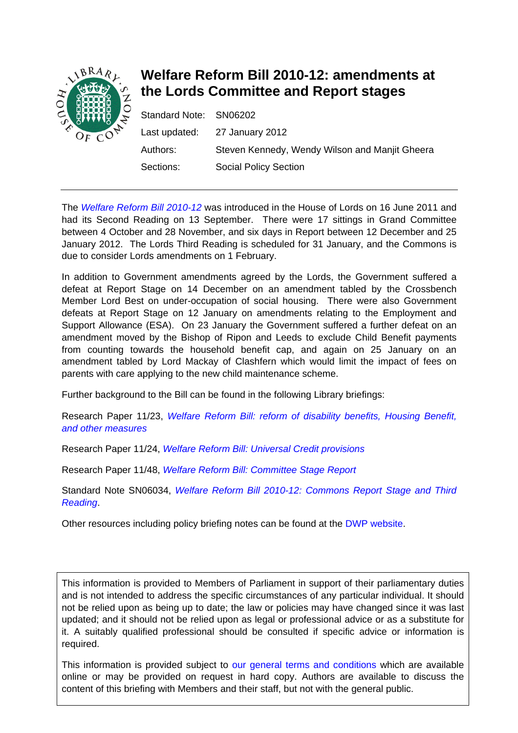

# **Welfare Reform Bill 2010-12: amendments at the Lords Committee and Report stages**

| Standard Note: SN06202 |                                                |
|------------------------|------------------------------------------------|
|                        | Last updated: 27 January 2012                  |
| Authors:               | Steven Kennedy, Wendy Wilson and Manjit Gheera |
| Sections:              | <b>Social Policy Section</b>                   |

The *[Welfare Reform Bill 2010-12](http://services.parliament.uk/bills/2010-11/welfarereform.html)* was introduced in the House of Lords on 16 June 2011 and had its Second Reading on 13 September. There were 17 sittings in Grand Committee between 4 October and 28 November, and six days in Report between 12 December and 25 January 2012. The Lords Third Reading is scheduled for 31 January, and the Commons is due to consider Lords amendments on 1 February.

In addition to Government amendments agreed by the Lords, the Government suffered a defeat at Report Stage on 14 December on an amendment tabled by the Crossbench Member Lord Best on under-occupation of social housing. There were also Government defeats at Report Stage on 12 January on amendments relating to the Employment and Support Allowance (ESA). On 23 January the Government suffered a further defeat on an amendment moved by the Bishop of Ripon and Leeds to exclude Child Benefit payments from counting towards the household benefit cap, and again on 25 January on an amendment tabled by Lord Mackay of Clashfern which would limit the impact of fees on parents with care applying to the new child maintenance scheme.

Further background to the Bill can be found in the following Library briefings:

Research Paper 11/23, *[Welfare Reform Bill: reform of disability benefits, Housing Benefit,](http://www.parliament.uk/briefing-papers/RP11-23)  [and other measures](http://www.parliament.uk/briefing-papers/RP11-23)*

Research Paper 11/24, *[Welfare Reform Bill: Universal Credit provisions](http://www.parliament.uk/briefing-papers/RP11-24)*

Research Paper 11/48, *[Welfare Reform Bill: Committee Stage Report](http://www.parliament.uk/briefing-papers/RP11-48)*

Standard Note SN06034, *[Welfare Reform Bill 2010-12: Commons Report Stage and Third](http://intranet.parliament.uk/briefing-papers/SN06034)  [Reading](http://intranet.parliament.uk/briefing-papers/SN06034)*.

Other resources including policy briefing notes can be found at the [DWP website.](http://www.dwp.gov.uk/policy/welfare-reform/legislation-and-key-documents/welfare-reform-bill-2011/index.shtml)

This information is provided to Members of Parliament in support of their parliamentary duties and is not intended to address the specific circumstances of any particular individual. It should not be relied upon as being up to date; the law or policies may have changed since it was last updated; and it should not be relied upon as legal or professional advice or as a substitute for it. A suitably qualified professional should be consulted if specific advice or information is required.

This information is provided subject to [our general terms and conditions](http://www.parliament.uk/site_information/parliamentary_copyright.cfm) which are available online or may be provided on request in hard copy. Authors are available to discuss the content of this briefing with Members and their staff, but not with the general public.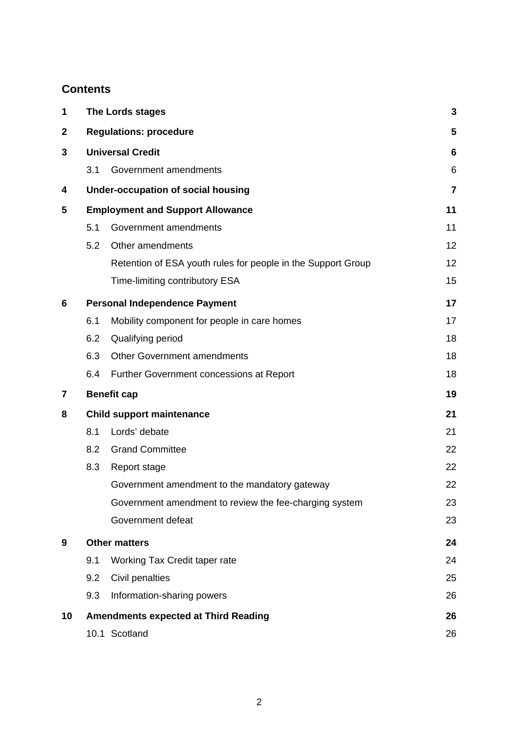## **Contents**

| 1           | The Lords stages                            |                                                              | 3                       |
|-------------|---------------------------------------------|--------------------------------------------------------------|-------------------------|
| $\mathbf 2$ | <b>Regulations: procedure</b>               |                                                              | 5                       |
| 3           | <b>Universal Credit</b>                     |                                                              | $6\phantom{1}6$         |
|             | 3.1                                         | Government amendments                                        | 6                       |
| 4           |                                             | <b>Under-occupation of social housing</b>                    | $\overline{\mathbf{7}}$ |
| 5           | <b>Employment and Support Allowance</b>     |                                                              | 11                      |
|             | 5.1                                         | Government amendments                                        | 11                      |
|             | 5.2                                         | Other amendments                                             | 12                      |
|             |                                             | Retention of ESA youth rules for people in the Support Group | 12                      |
|             |                                             | Time-limiting contributory ESA                               | 15                      |
| 6           | <b>Personal Independence Payment</b>        |                                                              | 17                      |
|             | 6.1                                         | Mobility component for people in care homes                  | 17                      |
|             | 6.2                                         | Qualifying period                                            | 18                      |
|             | 6.3                                         | <b>Other Government amendments</b>                           | 18                      |
|             | 6.4                                         | Further Government concessions at Report                     | 18                      |
| 7           |                                             | <b>Benefit cap</b>                                           | 19                      |
| 8           | <b>Child support maintenance</b>            |                                                              | 21                      |
|             | 8.1                                         | Lords' debate                                                | 21                      |
|             | 8.2                                         | <b>Grand Committee</b>                                       | 22                      |
|             | 8.3                                         | Report stage                                                 | 22                      |
|             |                                             | Government amendment to the mandatory gateway                | 22                      |
|             |                                             | Government amendment to review the fee-charging system       | 23                      |
|             |                                             | Government defeat                                            | 23                      |
| 9           |                                             | <b>Other matters</b>                                         |                         |
|             | 9.1                                         | Working Tax Credit taper rate                                | 24                      |
|             | 9.2                                         | Civil penalties                                              | 25                      |
|             | 9.3                                         | Information-sharing powers                                   | 26                      |
| 10          | <b>Amendments expected at Third Reading</b> |                                                              | 26                      |
|             |                                             | 10.1 Scotland                                                | 26                      |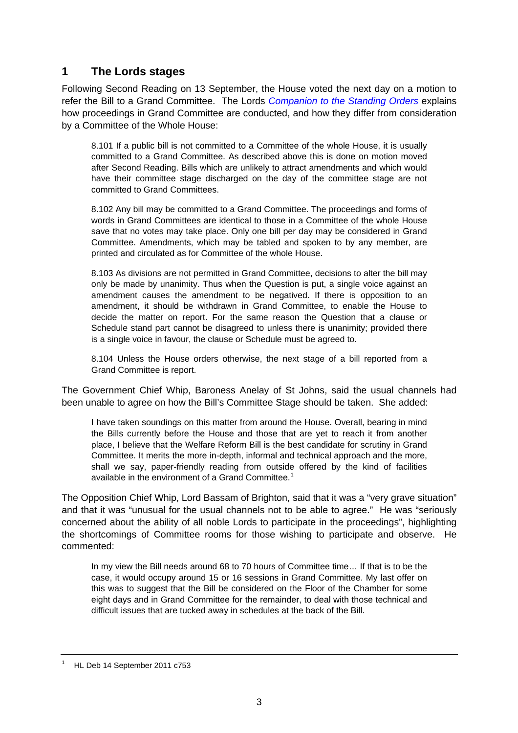## <span id="page-2-0"></span>**1 The Lords stages**

Following Second Reading on 13 September, the House voted the next day on a motion to refer the Bill to a Grand Committee. The Lords *[Companion to the Standing Orders](http://www.publications.parliament.uk/pa/ld/ldcomp/compso2010/ldctso11.htm#a144)* explains how proceedings in Grand Committee are conducted, and how they differ from consideration by a Committee of the Whole House:

8.101 If a public bill is not committed to a Committee of the whole House, it is usually committed to a Grand Committee. As described above this is done on motion moved after Second Reading. Bills which are unlikely to attract amendments and which would have their committee stage discharged on the day of the committee stage are not committed to Grand Committees.

8.102 Any bill may be committed to a Grand Committee. The proceedings and forms of words in Grand Committees are identical to those in a Committee of the whole House save that no votes may take place. Only one bill per day may be considered in Grand Committee. Amendments, which may be tabled and spoken to by any member, are printed and circulated as for Committee of the whole House.

8.103 As divisions are not permitted in Grand Committee, decisions to alter the bill may only be made by unanimity. Thus when the Question is put, a single voice against an amendment causes the amendment to be negatived. If there is opposition to an amendment, it should be withdrawn in Grand Committee, to enable the House to decide the matter on report. For the same reason the Question that a clause or Schedule stand part cannot be disagreed to unless there is unanimity; provided there is a single voice in favour, the clause or Schedule must be agreed to.

8.104 Unless the House orders otherwise, the next stage of a bill reported from a Grand Committee is report.

The Government Chief Whip, Baroness Anelay of St Johns, said the usual channels had been unable to agree on how the Bill's Committee Stage should be taken. She added:

I have taken soundings on this matter from around the House. Overall, bearing in mind the Bills currently before the House and those that are yet to reach it from another place, I believe that the Welfare Reform Bill is the best candidate for scrutiny in Grand Committee. It merits the more in-depth, informal and technical approach and the more, shall we say, paper-friendly reading from outside offered by the kind of facilities available in the environment of a Grand Committee.<sup>[1](#page-2-1)</sup>

The Opposition Chief Whip, Lord Bassam of Brighton, said that it was a "very grave situation" and that it was "unusual for the usual channels not to be able to agree." He was "seriously concerned about the ability of all noble Lords to participate in the proceedings", highlighting the shortcomings of Committee rooms for those wishing to participate and observe. He commented:

In my view the Bill needs around 68 to 70 hours of Committee time… If that is to be the case, it would occupy around 15 or 16 sessions in Grand Committee. My last offer on this was to suggest that the Bill be considered on the Floor of the Chamber for some eight days and in Grand Committee for the remainder, to deal with those technical and difficult issues that are tucked away in schedules at the back of the Bill.

<span id="page-2-1"></span><sup>1</sup> HL Deb 14 September 2011 c753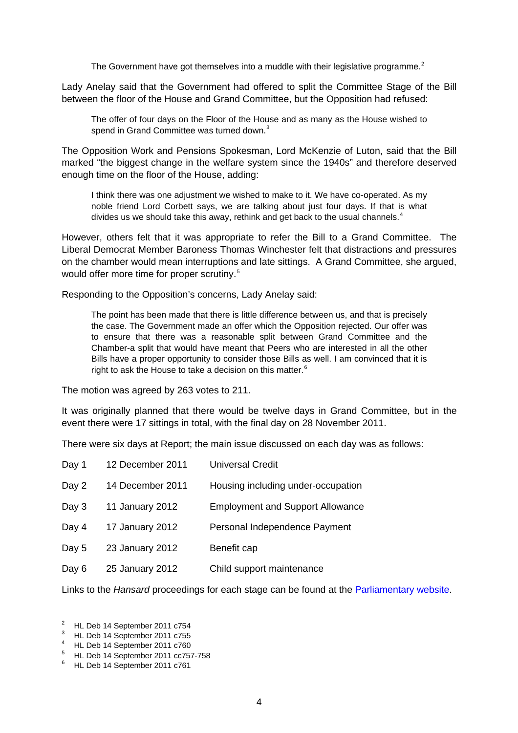The Government have got themselves into a muddle with their legislative programme.<sup>[2](#page-3-0)</sup>

Lady Anelay said that the Government had offered to split the Committee Stage of the Bill between the floor of the House and Grand Committee, but the Opposition had refused:

The offer of four days on the Floor of the House and as many as the House wished to spend in Grand Committee was turned down.<sup>[3](#page-3-1)</sup>

The Opposition Work and Pensions Spokesman, Lord McKenzie of Luton, said that the Bill marked "the biggest change in the welfare system since the 1940s" and therefore deserved enough time on the floor of the House, adding:

I think there was one adjustment we wished to make to it. We have co-operated. As my noble friend Lord Corbett says, we are talking about just four days. If that is what divides us we should take this away, rethink and get back to the usual channels. $4$ 

However, others felt that it was appropriate to refer the Bill to a Grand Committee. The Liberal Democrat Member Baroness Thomas Winchester felt that distractions and pressures on the chamber would mean interruptions and late sittings. A Grand Committee, she argued, would offer more time for proper scrutiny.<sup>[5](#page-3-3)</sup>

Responding to the Opposition's concerns, Lady Anelay said:

The point has been made that there is little difference between us, and that is precisely the case. The Government made an offer which the Opposition rejected. Our offer was to ensure that there was a reasonable split between Grand Committee and the Chamber-a split that would have meant that Peers who are interested in all the other Bills have a proper opportunity to consider those Bills as well. I am convinced that it is right to ask the House to take a decision on this matter.<sup>[6](#page-3-4)</sup>

The motion was agreed by 263 votes to 211.

It was originally planned that there would be twelve days in Grand Committee, but in the event there were 17 sittings in total, with the final day on 28 November 2011.

There were six days at Report; the main issue discussed on each day was as follows:

| Day 1 | 12 December 2011 | <b>Universal Credit</b>                 |
|-------|------------------|-----------------------------------------|
| Day 2 | 14 December 2011 | Housing including under-occupation      |
| Day 3 | 11 January 2012  | <b>Employment and Support Allowance</b> |
| Day 4 | 17 January 2012  | Personal Independence Payment           |
| Day 5 | 23 January 2012  | Benefit cap                             |
| Day 6 | 25 January 2012  | Child support maintenance               |

Links to the *Hansard* proceedings for each stage can be found at the [Parliamentary website](http://services.parliament.uk/bills/2010-11/welfarereform/stages.html).

<sup>2</sup> HL Deb 14 September 2011 c754

<span id="page-3-1"></span><span id="page-3-0"></span> $3$  HL Deb 14 September 2011 c755

<span id="page-3-2"></span><sup>&</sup>lt;sup>4</sup> HL Deb 14 September 2011 c760

<span id="page-3-3"></span><sup>&</sup>lt;sup>5</sup> HL Deb 14 September 2011 cc757-758

<span id="page-3-4"></span><sup>&</sup>lt;sup>6</sup> HL Deb 14 September 2011 c761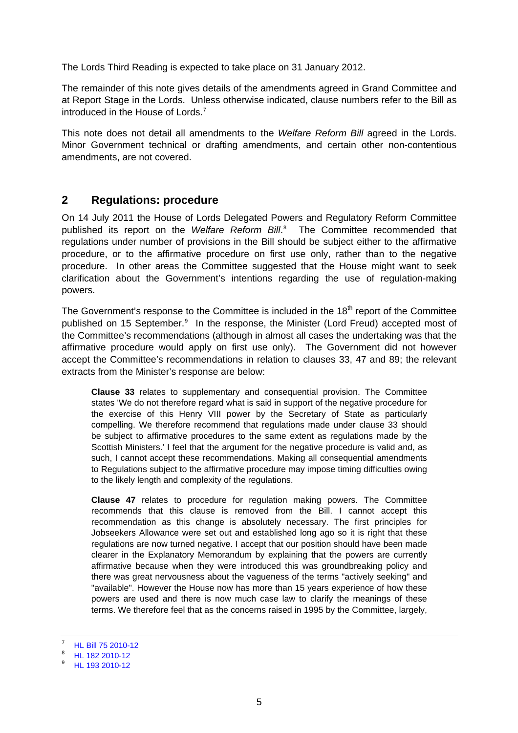<span id="page-4-0"></span>The Lords Third Reading is expected to take place on 31 January 2012.

The remainder of this note gives details of the amendments agreed in Grand Committee and at Report Stage in the Lords. Unless otherwise indicated, clause numbers refer to the Bill as introduced in the House of Lords.[7](#page-4-1)

This note does not detail all amendments to the *Welfare Reform Bill* agreed in the Lords. Minor Government technical or drafting amendments, and certain other non-contentious amendments, are not covered.

### **2 Regulations: procedure**

On 14 July 2011 the House of Lords Delegated Powers and Regulatory Reform Committee published its report on the *Welfare Reform Bill*. [8](#page-4-2) The Committee recommended that regulations under number of provisions in the Bill should be subject either to the affirmative procedure, or to the affirmative procedure on first use only, rather than to the negative procedure. In other areas the Committee suggested that the House might want to seek clarification about the Government's intentions regarding the use of regulation-making powers.

The Government's response to the Committee is included in the  $18<sup>th</sup>$  report of the Committee published on 15 September.<sup>[9](#page-4-3)</sup> In the response, the Minister (Lord Freud) accepted most of the Committee's recommendations (although in almost all cases the undertaking was that the affirmative procedure would apply on first use only). The Government did not however accept the Committee's recommendations in relation to clauses 33, 47 and 89; the relevant extracts from the Minister's response are below:

**Clause 33** relates to supplementary and consequential provision. The Committee states 'We do not therefore regard what is said in support of the negative procedure for the exercise of this Henry VIII power by the Secretary of State as particularly compelling. We therefore recommend that regulations made under clause 33 should be subject to affirmative procedures to the same extent as regulations made by the Scottish Ministers.' I feel that the argument for the negative procedure is valid and, as such, I cannot accept these recommendations. Making all consequential amendments to Regulations subject to the affirmative procedure may impose timing difficulties owing to the likely length and complexity of the regulations.

**Clause 47** relates to procedure for regulation making powers. The Committee recommends that this clause is removed from the Bill. I cannot accept this recommendation as this change is absolutely necessary. The first principles for Jobseekers Allowance were set out and established long ago so it is right that these regulations are now turned negative. I accept that our position should have been made clearer in the Explanatory Memorandum by explaining that the powers are currently affirmative because when they were introduced this was groundbreaking policy and there was great nervousness about the vagueness of the terms "actively seeking" and "available". However the House now has more than 15 years experience of how these powers are used and there is now much case law to clarify the meanings of these terms. We therefore feel that as the concerns raised in 1995 by the Committee, largely,

<sup>7</sup> [HL Bill 75 2010-12](http://services.parliament.uk/bills/2010-11/welfarereform/documents.html)

<span id="page-4-2"></span><span id="page-4-1"></span><sup>8</sup> [HL 182 2010-12](http://www.publications.parliament.uk/pa/ld201012/ldselect/lddelreg/182/18202.htm)

<span id="page-4-3"></span><sup>9</sup> [HL 193 2010-12](http://www.publications.parliament.uk/pa/ld201012/ldselect/lddelreg/193/19302.htm)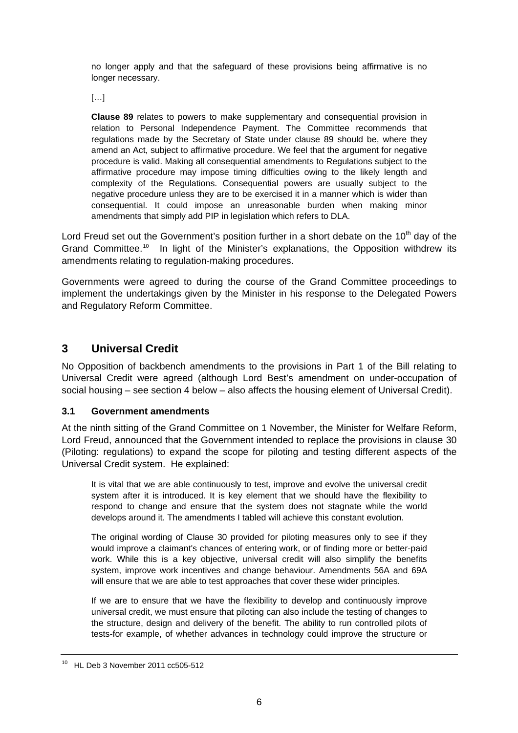<span id="page-5-0"></span>no longer apply and that the safeguard of these provisions being affirmative is no longer necessary.

 $[...]$ 

**Clause 89** relates to powers to make supplementary and consequential provision in relation to Personal Independence Payment. The Committee recommends that regulations made by the Secretary of State under clause 89 should be, where they amend an Act, subject to affirmative procedure. We feel that the argument for negative procedure is valid. Making all consequential amendments to Regulations subject to the affirmative procedure may impose timing difficulties owing to the likely length and complexity of the Regulations. Consequential powers are usually subject to the negative procedure unless they are to be exercised it in a manner which is wider than consequential. It could impose an unreasonable burden when making minor amendments that simply add PIP in legislation which refers to DLA.

Lord Freud set out the Government's position further in a short debate on the 10<sup>th</sup> day of the Grand Committee.<sup>[10](#page-5-1)</sup> In light of the Minister's explanations, the Opposition withdrew its amendments relating to regulation-making procedures.

Governments were agreed to during the course of the Grand Committee proceedings to implement the undertakings given by the Minister in his response to the Delegated Powers and Regulatory Reform Committee.

## **3 Universal Credit**

No Opposition of backbench amendments to the provisions in Part 1 of the Bill relating to Universal Credit were agreed (although Lord Best's amendment on under-occupation of social housing – see section 4 below – also affects the housing element of Universal Credit).

### **3.1 Government amendments**

At the ninth sitting of the Grand Committee on 1 November, the Minister for Welfare Reform, Lord Freud, announced that the Government intended to replace the provisions in clause 30 (Piloting: regulations) to expand the scope for piloting and testing different aspects of the Universal Credit system. He explained:

It is vital that we are able continuously to test, improve and evolve the universal credit system after it is introduced. It is key element that we should have the flexibility to respond to change and ensure that the system does not stagnate while the world develops around it. The amendments I tabled will achieve this constant evolution.

The original wording of Clause 30 provided for piloting measures only to see if they would improve a claimant's chances of entering work, or of finding more or better-paid work. While this is a key objective, universal credit will also simplify the benefits system, improve work incentives and change behaviour. Amendments 56A and 69A will ensure that we are able to test approaches that cover these wider principles.

If we are to ensure that we have the flexibility to develop and continuously improve universal credit, we must ensure that piloting can also include the testing of changes to the structure, design and delivery of the benefit. The ability to run controlled pilots of tests-for example, of whether advances in technology could improve the structure or

<span id="page-5-1"></span><sup>10</sup> HL Deb 3 November 2011 cc505-512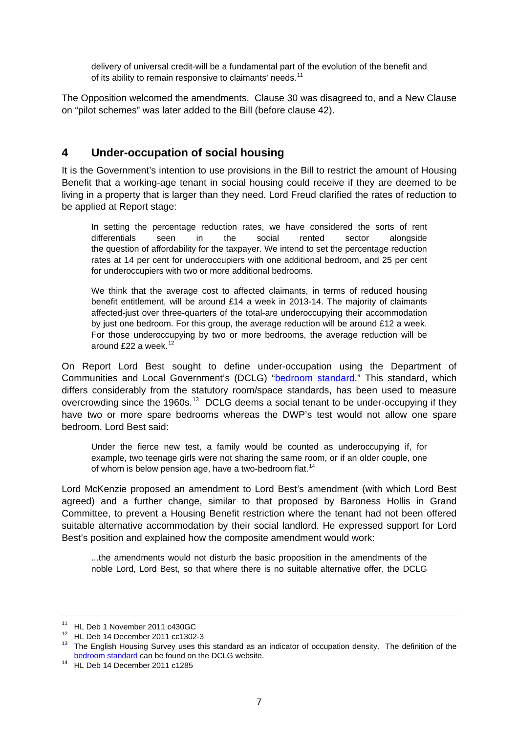<span id="page-6-0"></span>delivery of universal credit-will be a fundamental part of the evolution of the benefit and of its ability to remain responsive to claimants' needs.<sup>[11](#page-6-1)</sup>

The Opposition welcomed the amendments. Clause 30 was disagreed to, and a New Clause on "pilot schemes" was later added to the Bill (before clause 42).

## **4 Under-occupation of social housing**

It is the Government's intention to use provisions in the Bill to restrict the amount of Housing Benefit that a working-age tenant in social housing could receive if they are deemed to be living in a property that is larger than they need. Lord Freud clarified the rates of reduction to be applied at Report stage:

In setting the percentage reduction rates, we have considered the sorts of rent differentials seen in the social rented sector alongside the question of affordability for the taxpayer. We intend to set the percentage reduction rates at 14 per cent for underoccupiers with one additional bedroom, and 25 per cent for underoccupiers with two or more additional bedrooms.

We think that the average cost to affected claimants, in terms of reduced housing benefit entitlement, will be around £14 a week in 2013-14. The majority of claimants affected-just over three-quarters of the total-are underoccupying their accommodation by just one bedroom. For this group, the average reduction will be around £12 a week. For those underoccupying by two or more bedrooms, the average reduction will be around £22 a week. $12$ 

On Report Lord Best sought to define under-occupation using the Department of Communities and Local Government's (DCLG) "[bedroom standard](http://www.communities.gov.uk/housing/housingresearch/housingsurveys/surveyofenglishhousing/sehlivetables/surveyenglish/224421/)." This standard, which differs considerably from the statutory room/space standards, has been used to measure overcrowding since the 1960s.<sup>[13](#page-6-3)</sup> DCLG deems a social tenant to be under-occupying if they have two or more spare bedrooms whereas the DWP's test would not allow one spare bedroom. Lord Best said:

Under the fierce new test, a family would be counted as underoccupying if, for example, two teenage girls were not sharing the same room, or if an older couple, one of whom is below pension age, have a two-bedroom flat.<sup>[14](#page-6-4)</sup>

Lord McKenzie proposed an amendment to Lord Best's amendment (with which Lord Best agreed) and a further change, similar to that proposed by Baroness Hollis in Grand Committee, to prevent a Housing Benefit restriction where the tenant had not been offered suitable alternative accommodation by their social landlord. He expressed support for Lord Best's position and explained how the composite amendment would work:

...the amendments would not disturb the basic proposition in the amendments of the noble Lord, Lord Best, so that where there is no suitable alternative offer, the DCLG

<span id="page-6-2"></span><span id="page-6-1"></span><sup>11</sup> HL Deb 1 November 2011 c430GC

 $12$  HL Deb 14 December 2011 cc1302-3

<span id="page-6-3"></span><sup>&</sup>lt;sup>13</sup> The English Housing Survey uses this standard as an indicator of occupation density. The definition of the [bedroom standard](http://www.communities.gov.uk/housing/housingresearch/housingsurveys/surveyofenglishhousing/sehlivetables/surveyenglish/224421/) can be found on the DCLG website. 14 HL Deb 14 December 2011 c1285

<span id="page-6-4"></span>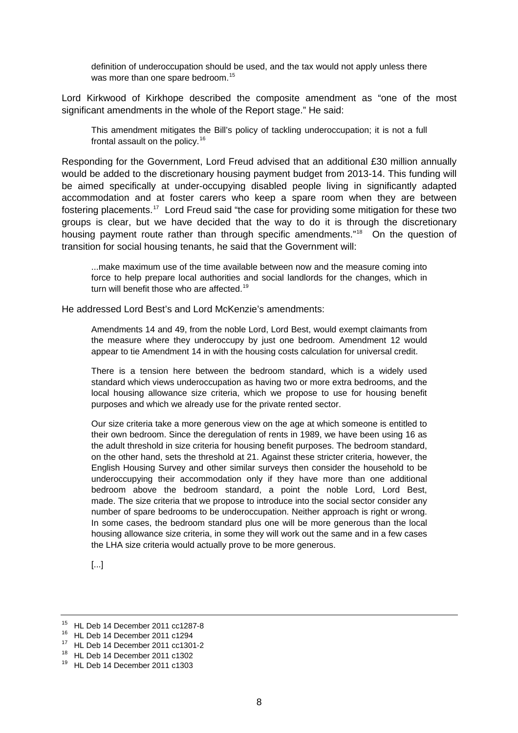definition of underoccupation should be used, and the tax would not apply unless there was more than one spare bedroom.<sup>[15](#page-7-0)</sup>

Lord Kirkwood of Kirkhope described the composite amendment as "one of the most significant amendments in the whole of the Report stage." He said:

This amendment mitigates the Bill's policy of tackling underoccupation; it is not a full frontal assault on the policy.<sup>[16](#page-7-1)</sup>

Responding for the Government, Lord Freud advised that an additional £30 million annually would be added to the discretionary housing payment budget from 2013-14. This funding will be aimed specifically at under-occupying disabled people living in significantly adapted accommodation and at foster carers who keep a spare room when they are between fostering placements.[17](#page-7-2) Lord Freud said "the case for providing some mitigation for these two groups is clear, but we have decided that the way to do it is through the discretionary housing payment route rather than through specific amendments."<sup>[18](#page-7-3)</sup> On the question of transition for social housing tenants, he said that the Government will:

...make maximum use of the time available between now and the measure coming into force to help prepare local authorities and social landlords for the changes, which in turn will benefit those who are affected.<sup>[19](#page-7-4)</sup>

He addressed Lord Best's and Lord McKenzie's amendments:

Amendments 14 and 49, from the noble Lord, Lord Best, would exempt claimants from the measure where they underoccupy by just one bedroom. Amendment 12 would appear to tie Amendment 14 in with the housing costs calculation for universal credit.

There is a tension here between the bedroom standard, which is a widely used standard which views underoccupation as having two or more extra bedrooms, and the local housing allowance size criteria, which we propose to use for housing benefit purposes and which we already use for the private rented sector.

Our size criteria take a more generous view on the age at which someone is entitled to their own bedroom. Since the deregulation of rents in 1989, we have been using 16 as the adult threshold in size criteria for housing benefit purposes. The bedroom standard, on the other hand, sets the threshold at 21. Against these stricter criteria, however, the English Housing Survey and other similar surveys then consider the household to be underoccupying their accommodation only if they have more than one additional bedroom above the bedroom standard, a point the noble Lord, Lord Best, made. The size criteria that we propose to introduce into the social sector consider any number of spare bedrooms to be underoccupation. Neither approach is right or wrong. In some cases, the bedroom standard plus one will be more generous than the local housing allowance size criteria, in some they will work out the same and in a few cases the LHA size criteria would actually prove to be more generous.

[...]

<span id="page-7-0"></span><sup>15</sup> HL Deb 14 December 2011 cc1287-8

<span id="page-7-1"></span> $16$  HL Deb 14 December 2011 c1294

<span id="page-7-2"></span><sup>17</sup> HL Deb 14 December 2011 cc1301-2

<span id="page-7-3"></span><sup>18</sup> HL Deb 14 December 2011 c1302

<span id="page-7-4"></span><sup>19</sup> HL Deb 14 December 2011 c1303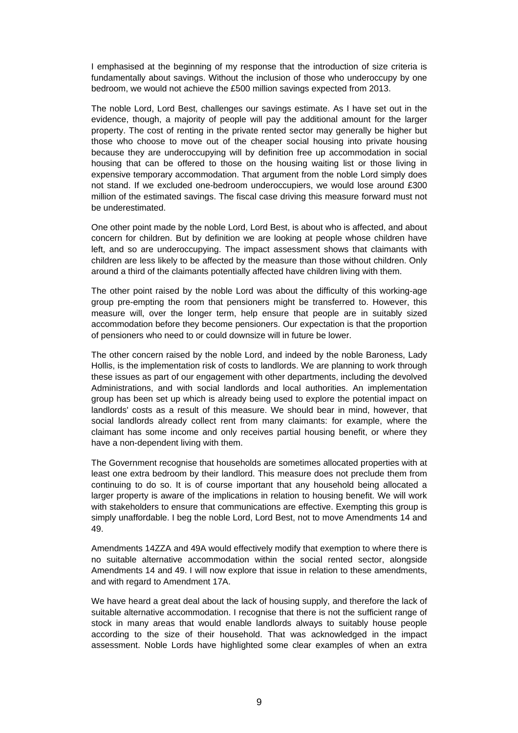I emphasised at the beginning of my response that the introduction of size criteria is fundamentally about savings. Without the inclusion of those who underoccupy by one bedroom, we would not achieve the £500 million savings expected from 2013.

The noble Lord, Lord Best, challenges our savings estimate. As I have set out in the evidence, though, a majority of people will pay the additional amount for the larger property. The cost of renting in the private rented sector may generally be higher but those who choose to move out of the cheaper social housing into private housing because they are underoccupying will by definition free up accommodation in social housing that can be offered to those on the housing waiting list or those living in expensive temporary accommodation. That argument from the noble Lord simply does not stand. If we excluded one-bedroom underoccupiers, we would lose around £300 million of the estimated savings. The fiscal case driving this measure forward must not be underestimated.

One other point made by the noble Lord, Lord Best, is about who is affected, and about concern for children. But by definition we are looking at people whose children have left, and so are underoccupying. The impact assessment shows that claimants with children are less likely to be affected by the measure than those without children. Only around a third of the claimants potentially affected have children living with them.

The other point raised by the noble Lord was about the difficulty of this working-age group pre-empting the room that pensioners might be transferred to. However, this measure will, over the longer term, help ensure that people are in suitably sized accommodation before they become pensioners. Our expectation is that the proportion of pensioners who need to or could downsize will in future be lower.

The other concern raised by the noble Lord, and indeed by the noble Baroness, Lady Hollis, is the implementation risk of costs to landlords. We are planning to work through these issues as part of our engagement with other departments, including the devolved Administrations, and with social landlords and local authorities. An implementation group has been set up which is already being used to explore the potential impact on landlords' costs as a result of this measure. We should bear in mind, however, that social landlords already collect rent from many claimants: for example, where the claimant has some income and only receives partial housing benefit, or where they have a non-dependent living with them.

The Government recognise that households are sometimes allocated properties with at least one extra bedroom by their landlord. This measure does not preclude them from continuing to do so. It is of course important that any household being allocated a larger property is aware of the implications in relation to housing benefit. We will work with stakeholders to ensure that communications are effective. Exempting this group is simply unaffordable. I beg the noble Lord, Lord Best, not to move Amendments 14 and 49.

Amendments 14ZZA and 49A would effectively modify that exemption to where there is no suitable alternative accommodation within the social rented sector, alongside Amendments 14 and 49. I will now explore that issue in relation to these amendments, and with regard to Amendment 17A.

We have heard a great deal about the lack of housing supply, and therefore the lack of suitable alternative accommodation. I recognise that there is not the sufficient range of stock in many areas that would enable landlords always to suitably house people according to the size of their household. That was acknowledged in the impact assessment. Noble Lords have highlighted some clear examples of when an extra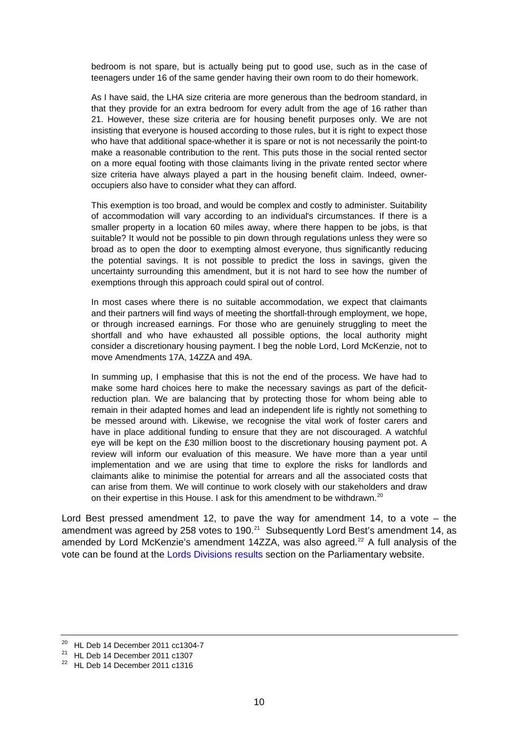bedroom is not spare, but is actually being put to good use, such as in the case of teenagers under 16 of the same gender having their own room to do their homework.

As I have said, the LHA size criteria are more generous than the bedroom standard, in that they provide for an extra bedroom for every adult from the age of 16 rather than 21. However, these size criteria are for housing benefit purposes only. We are not insisting that everyone is housed according to those rules, but it is right to expect those who have that additional space-whether it is spare or not is not necessarily the point-to make a reasonable contribution to the rent. This puts those in the social rented sector on a more equal footing with those claimants living in the private rented sector where size criteria have always played a part in the housing benefit claim. Indeed, owneroccupiers also have to consider what they can afford.

This exemption is too broad, and would be complex and costly to administer. Suitability of accommodation will vary according to an individual's circumstances. If there is a smaller property in a location 60 miles away, where there happen to be jobs, is that suitable? It would not be possible to pin down through regulations unless they were so broad as to open the door to exempting almost everyone, thus significantly reducing the potential savings. It is not possible to predict the loss in savings, given the uncertainty surrounding this amendment, but it is not hard to see how the number of exemptions through this approach could spiral out of control.

In most cases where there is no suitable accommodation, we expect that claimants and their partners will find ways of meeting the shortfall-through employment, we hope, or through increased earnings. For those who are genuinely struggling to meet the shortfall and who have exhausted all possible options, the local authority might consider a discretionary housing payment. I beg the noble Lord, Lord McKenzie, not to move Amendments 17A, 14ZZA and 49A.

In summing up, I emphasise that this is not the end of the process. We have had to make some hard choices here to make the necessary savings as part of the deficitreduction plan. We are balancing that by protecting those for whom being able to remain in their adapted homes and lead an independent life is rightly not something to be messed around with. Likewise, we recognise the vital work of foster carers and have in place additional funding to ensure that they are not discouraged. A watchful eye will be kept on the £30 million boost to the discretionary housing payment pot. A review will inform our evaluation of this measure. We have more than a year until implementation and we are using that time to explore the risks for landlords and claimants alike to minimise the potential for arrears and all the associated costs that can arise from them. We will continue to work closely with our stakeholders and draw on their expertise in this House. I ask for this amendment to be withdrawn.<sup>[20](#page-9-0)</sup>

Lord Best pressed amendment 12, to pave the way for amendment 14, to a vote – the amendment was agreed by 258 votes to 190. $^{21}$  $^{21}$  $^{21}$  Subsequently Lord Best's amendment 14, as amended by Lord McKenzie's amendment 14ZZA, was also agreed.<sup>[22](#page-9-2)</sup> A full analysis of the vote can be found at the [Lords Divisions results](http://www.parliament.uk/business/publications/business-papers/lords/lords-divisions/) section on the Parliamentary website.

<span id="page-9-0"></span> $20$  HL Deb 14 December 2011 cc1304-7

<span id="page-9-1"></span> $21$  HL Deb 14 December 2011 c1307

<span id="page-9-2"></span> $22$  HL Deb 14 December 2011 c1316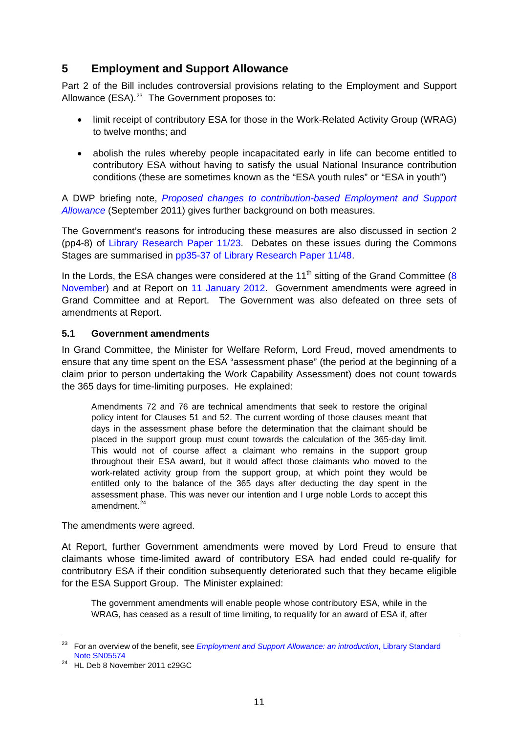## <span id="page-10-0"></span>**5 Employment and Support Allowance**

Part 2 of the Bill includes controversial provisions relating to the Employment and Support Allowance  $(ESA).^{23}$  $(ESA).^{23}$  $(ESA).^{23}$  The Government proposes to:

- limit receipt of contributory ESA for those in the Work-Related Activity Group (WRAG) to twelve months; and
- abolish the rules whereby people incapacitated early in life can become entitled to contributory ESA without having to satisfy the usual National Insurance contribution conditions (these are sometimes known as the "ESA youth rules" or "ESA in youth")

A DWP briefing note, *[Proposed changes to contribution-based Employment and Support](http://www.dwp.gov.uk/docs/esa-changes-q-and-a.pdf)  [Allowance](http://www.dwp.gov.uk/docs/esa-changes-q-and-a.pdf)* (September 2011) gives further background on both measures.

The Government's reasons for introducing these measures are also discussed in section 2 (pp4-8) of [Library Research Paper 11/23.](http://www.parliament.uk/briefing-papers/RP11-23) Debates on these issues during the Commons Stages are summarised in [pp35-37 of Library Research Paper 11/48](http://www.parliament.uk/briefing-papers/RP11-48).

In the Lords, the ESA changes were considered at the 11<sup>th</sup> sitting of the Grand Committee (8) [November\)](http://www.publications.parliament.uk/pa/ld201011/ldhansrd/text/111108-gc0001.htm#11110875000146) and at Report on [11 January 2012.](http://www.publications.parliament.uk/pa/ld201212/ldhansrd/text/120111-0001.htm#12011182000884) Government amendments were agreed in Grand Committee and at Report. The Government was also defeated on three sets of amendments at Report.

#### **5.1 Government amendments**

In Grand Committee, the Minister for Welfare Reform, Lord Freud, moved amendments to ensure that any time spent on the ESA "assessment phase" (the period at the beginning of a claim prior to person undertaking the Work Capability Assessment) does not count towards the 365 days for time-limiting purposes. He explained:

Amendments 72 and 76 are technical amendments that seek to restore the original policy intent for Clauses 51 and 52. The current wording of those clauses meant that days in the assessment phase before the determination that the claimant should be placed in the support group must count towards the calculation of the 365-day limit. This would not of course affect a claimant who remains in the support group throughout their ESA award, but it would affect those claimants who moved to the work-related activity group from the support group, at which point they would be entitled only to the balance of the 365 days after deducting the day spent in the assessment phase. This was never our intention and I urge noble Lords to accept this amendment $24$ 

The amendments were agreed.

At Report, further Government amendments were moved by Lord Freud to ensure that claimants whose time-limited award of contributory ESA had ended could re-qualify for contributory ESA if their condition subsequently deteriorated such that they became eligible for the ESA Support Group. The Minister explained:

The government amendments will enable people whose contributory ESA, while in the WRAG, has ceased as a result of time limiting, to requalify for an award of ESA if, after

<span id="page-10-1"></span><sup>23</sup> For an overview of the benefit, see *[Employment and Support Allowance: an introduction](http://www.parliament.uk/briefing-papers/SN05574)*, Library Standard [Note SN05574](http://www.parliament.uk/briefing-papers/SN05574)

<span id="page-10-2"></span><sup>24</sup> HL Deb 8 November 2011 c29GC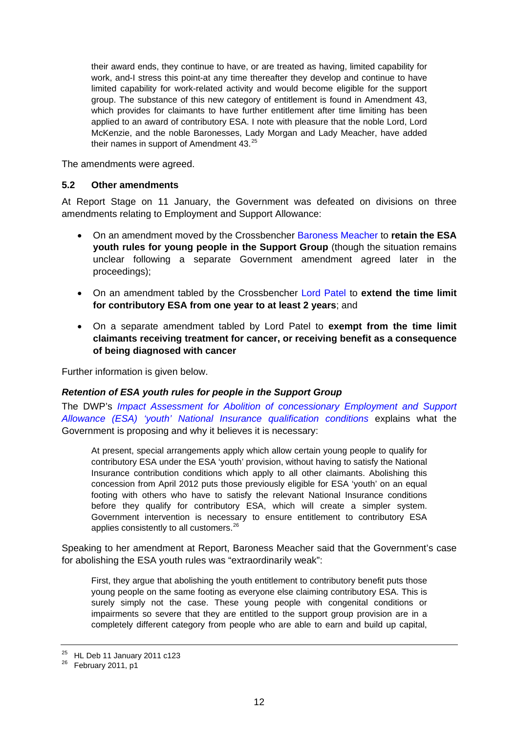<span id="page-11-0"></span>their award ends, they continue to have, or are treated as having, limited capability for work, and-I stress this point-at any time thereafter they develop and continue to have limited capability for work-related activity and would become eligible for the support group. The substance of this new category of entitlement is found in Amendment 43, which provides for claimants to have further entitlement after time limiting has been applied to an award of contributory ESA. I note with pleasure that the noble Lord, Lord McKenzie, and the noble Baronesses, Lady Morgan and Lady Meacher, have added their names in support of Amendment  $43.^{25}$  $43.^{25}$  $43.^{25}$ 

The amendments were agreed.

#### **5.2 Other amendments**

At Report Stage on 11 January, the Government was defeated on divisions on three amendments relating to Employment and Support Allowance:

- On an amendment moved by the Crossbencher [Baroness Meacher](http://www.parliament.uk/biographies/lords/molly-meacher/22409) to **retain the ESA youth rules for young people in the Support Group** (though the situation remains unclear following a separate Government amendment agreed later in the proceedings);
- On an amendment tabled by the Crossbencher [Lord Patel](http://www.parliament.uk/biographies/lords/narendra-patel/26804) to **extend the time limit for contributory ESA from one year to at least 2 years**; and
- On a separate amendment tabled by Lord Patel to **exempt from the time limit claimants receiving treatment for cancer, or receiving benefit as a consequence of being diagnosed with cancer**

Further information is given below.

#### *Retention of ESA youth rules for people in the Support Group*

The DWP's *[Impact Assessment for Abolition of concessionary Employment and Support](http://www.dwp.gov.uk/docs/esa-youth-provisions-wr2011-ia.pdf)  [Allowance \(ESA\) 'youth' National Insurance qualification conditions](http://www.dwp.gov.uk/docs/esa-youth-provisions-wr2011-ia.pdf)* explains what the Government is proposing and why it believes it is necessary:

At present, special arrangements apply which allow certain young people to qualify for contributory ESA under the ESA 'youth' provision, without having to satisfy the National Insurance contribution conditions which apply to all other claimants. Abolishing this concession from April 2012 puts those previously eligible for ESA 'youth' on an equal footing with others who have to satisfy the relevant National Insurance conditions before they qualify for contributory ESA, which will create a simpler system. Government intervention is necessary to ensure entitlement to contributory ESA applies consistently to all customers.<sup>[26](#page-11-2)</sup>

Speaking to her amendment at Report, Baroness Meacher said that the Government's case for abolishing the ESA youth rules was "extraordinarily weak":

First, they argue that abolishing the youth entitlement to contributory benefit puts those young people on the same footing as everyone else claiming contributory ESA. This is surely simply not the case. These young people with congenital conditions or impairments so severe that they are entitled to the support group provision are in a completely different category from people who are able to earn and build up capital,

<span id="page-11-1"></span> $25$  HL Deb 11 January 2011 c123

<span id="page-11-2"></span> $26$  February 2011, p1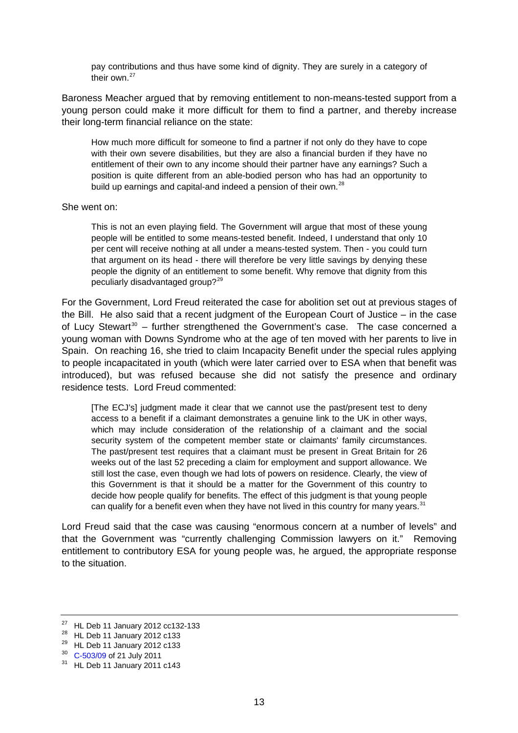pay contributions and thus have some kind of dignity. They are surely in a category of their own.<sup>[27](#page-12-0)</sup>

Baroness Meacher argued that by removing entitlement to non-means-tested support from a young person could make it more difficult for them to find a partner, and thereby increase their long-term financial reliance on the state:

How much more difficult for someone to find a partner if not only do they have to cope with their own severe disabilities, but they are also a financial burden if they have no entitlement of their own to any income should their partner have any earnings? Such a position is quite different from an able-bodied person who has had an opportunity to build up earnings and capital-and indeed a pension of their own.<sup>[28](#page-12-1)</sup>

#### She went on:

This is not an even playing field. The Government will argue that most of these young people will be entitled to some means-tested benefit. Indeed, I understand that only 10 per cent will receive nothing at all under a means-tested system. Then - you could turn that argument on its head - there will therefore be very little savings by denying these people the dignity of an entitlement to some benefit. Why remove that dignity from this peculiarly disadvantaged group?[29](#page-12-2)

For the Government, Lord Freud reiterated the case for abolition set out at previous stages of the Bill. He also said that a recent judgment of the European Court of Justice – in the case of Lucy Stewart<sup>[30](#page-12-3)</sup> – further strengthened the Government's case. The case concerned a young woman with Downs Syndrome who at the age of ten moved with her parents to live in Spain. On reaching 16, she tried to claim Incapacity Benefit under the special rules applying to people incapacitated in youth (which were later carried over to ESA when that benefit was introduced), but was refused because she did not satisfy the presence and ordinary residence tests. Lord Freud commented:

[The ECJ's] judgment made it clear that we cannot use the past/present test to deny access to a benefit if a claimant demonstrates a genuine link to the UK in other ways, which may include consideration of the relationship of a claimant and the social security system of the competent member state or claimants' family circumstances. The past/present test requires that a claimant must be present in Great Britain for 26 weeks out of the last 52 preceding a claim for employment and support allowance. We still lost the case, even though we had lots of powers on residence. Clearly, the view of this Government is that it should be a matter for the Government of this country to decide how people qualify for benefits. The effect of this judgment is that young people can qualify for a benefit even when they have not lived in this country for many years.<sup>[31](#page-12-4)</sup>

Lord Freud said that the case was causing "enormous concern at a number of levels" and that the Government was "currently challenging Commission lawyers on it." Removing entitlement to contributory ESA for young people was, he argued, the appropriate response to the situation.

<span id="page-12-0"></span><sup>27</sup> HL Deb 11 January 2012 cc132-133

<span id="page-12-1"></span><sup>&</sup>lt;sup>28</sup> HL Deb 11 January 2012 c133

<span id="page-12-2"></span><sup>&</sup>lt;sup>29</sup> HL Deb 11 January 2012 c133<br><sup>30</sup> C-503/09 of 21 July 2011

<span id="page-12-3"></span>

<span id="page-12-4"></span> $31$  HL Deb 11 January 2011 c143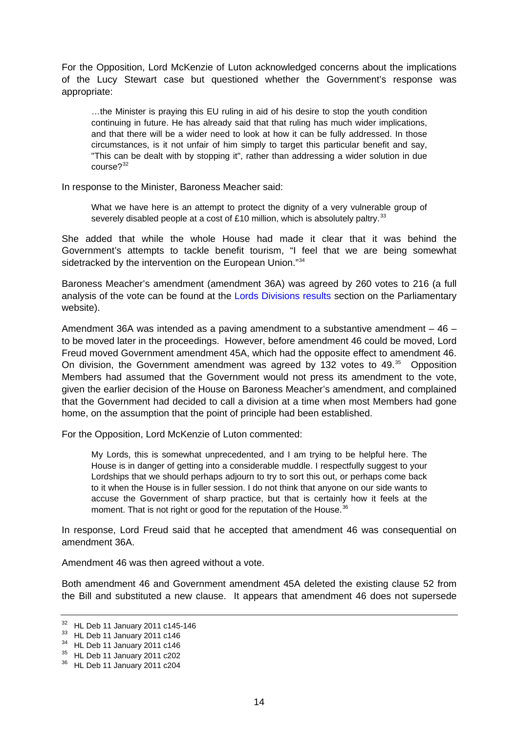For the Opposition, Lord McKenzie of Luton acknowledged concerns about the implications of the Lucy Stewart case but questioned whether the Government's response was appropriate:

…the Minister is praying this EU ruling in aid of his desire to stop the youth condition continuing in future. He has already said that that ruling has much wider implications, and that there will be a wider need to look at how it can be fully addressed. In those circumstances, is it not unfair of him simply to target this particular benefit and say, "This can be dealt with by stopping it", rather than addressing a wider solution in due  $course?$ <sup>[32](#page-13-0)</sup>

In response to the Minister, Baroness Meacher said:

What we have here is an attempt to protect the dignity of a very vulnerable group of severely disabled people at a cost of £10 million, which is absolutely paltry. $33$ 

She added that while the whole House had made it clear that it was behind the Government's attempts to tackle benefit tourism, "I feel that we are being somewhat sidetracked by the intervention on the European Union."[34](#page-13-2)

Baroness Meacher's amendment (amendment 36A) was agreed by 260 votes to 216 (a full analysis of the vote can be found at the [Lords Divisions results](http://www.parliament.uk/business/publications/business-papers/lords/lords-divisions/) section on the Parliamentary website).

Amendment 36A was intended as a paving amendment to a substantive amendment – 46 – to be moved later in the proceedings. However, before amendment 46 could be moved, Lord Freud moved Government amendment 45A, which had the opposite effect to amendment 46. On division, the Government amendment was agreed by 132 votes to 49.<sup>[35](#page-13-3)</sup> Opposition Members had assumed that the Government would not press its amendment to the vote, given the earlier decision of the House on Baroness Meacher's amendment, and complained that the Government had decided to call a division at a time when most Members had gone home, on the assumption that the point of principle had been established.

For the Opposition, Lord McKenzie of Luton commented:

My Lords, this is somewhat unprecedented, and I am trying to be helpful here. The House is in danger of getting into a considerable muddle. I respectfully suggest to your Lordships that we should perhaps adjourn to try to sort this out, or perhaps come back to it when the House is in fuller session. I do not think that anyone on our side wants to accuse the Government of sharp practice, but that is certainly how it feels at the moment. That is not right or good for the reputation of the House. $36$ 

In response, Lord Freud said that he accepted that amendment 46 was consequential on amendment 36A.

Amendment 46 was then agreed without a vote.

Both amendment 46 and Government amendment 45A deleted the existing clause 52 from the Bill and substituted a new clause. It appears that amendment 46 does not supersede

<span id="page-13-0"></span><sup>32</sup> HL Deb 11 January 2011 c145-146

<span id="page-13-1"></span><sup>33</sup> HL Deb 11 January 2011 c146

<span id="page-13-2"></span><sup>34</sup> HL Deb 11 January 2011 c146

<span id="page-13-3"></span> $35$  HL Deb 11 January 2011 c202

<span id="page-13-4"></span><sup>36</sup> HL Deb 11 January 2011 c204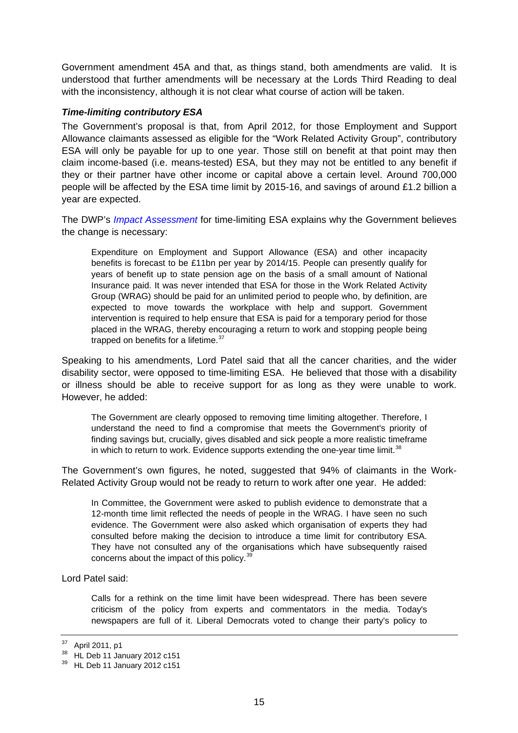<span id="page-14-0"></span>Government amendment 45A and that, as things stand, both amendments are valid. It is understood that further amendments will be necessary at the Lords Third Reading to deal with the inconsistency, although it is not clear what course of action will be taken.

#### *Time-limiting contributory ESA*

The Government's proposal is that, from April 2012, for those Employment and Support Allowance claimants assessed as eligible for the "Work Related Activity Group", contributory ESA will only be payable for up to one year. Those still on benefit at that point may then claim income-based (i.e. means-tested) ESA, but they may not be entitled to any benefit if they or their partner have other income or capital above a certain level. Around 700,000 people will be affected by the ESA time limit by 2015-16, and savings of around £1.2 billion a year are expected.

The DWP's *[Impact Assessment](http://www.dwp.gov.uk/docs/esa-time-limit-wr2011-ia-revised-apr2011.pdf)* for time-limiting ESA explains why the Government believes the change is necessary:

Expenditure on Employment and Support Allowance (ESA) and other incapacity benefits is forecast to be £11bn per year by 2014/15. People can presently qualify for years of benefit up to state pension age on the basis of a small amount of National Insurance paid. It was never intended that ESA for those in the Work Related Activity Group (WRAG) should be paid for an unlimited period to people who, by definition, are expected to move towards the workplace with help and support. Government intervention is required to help ensure that ESA is paid for a temporary period for those placed in the WRAG, thereby encouraging a return to work and stopping people being trapped on benefits for a lifetime. $37$ 

Speaking to his amendments, Lord Patel said that all the cancer charities, and the wider disability sector, were opposed to time-limiting ESA. He believed that those with a disability or illness should be able to receive support for as long as they were unable to work. However, he added:

The Government are clearly opposed to removing time limiting altogether. Therefore, I understand the need to find a compromise that meets the Government's priority of finding savings but, crucially, gives disabled and sick people a more realistic timeframe in which to return to work. Evidence supports extending the one-year time limit. $38$ 

The Government's own figures, he noted, suggested that 94% of claimants in the Work-Related Activity Group would not be ready to return to work after one year. He added:

In Committee, the Government were asked to publish evidence to demonstrate that a 12-month time limit reflected the needs of people in the WRAG. I have seen no such evidence. The Government were also asked which organisation of experts they had consulted before making the decision to introduce a time limit for contributory ESA. They have not consulted any of the organisations which have subsequently raised concerns about the impact of this policy.[39](#page-14-3)

Lord Patel said:

Calls for a rethink on the time limit have been widespread. There has been severe criticism of the policy from experts and commentators in the media. Today's newspapers are full of it. Liberal Democrats voted to change their party's policy to

<span id="page-14-1"></span>April 2011, p1

<span id="page-14-2"></span><sup>38</sup> HL Deb 11 January 2012 c151

<span id="page-14-3"></span><sup>39</sup> HL Deb 11 January 2012 c151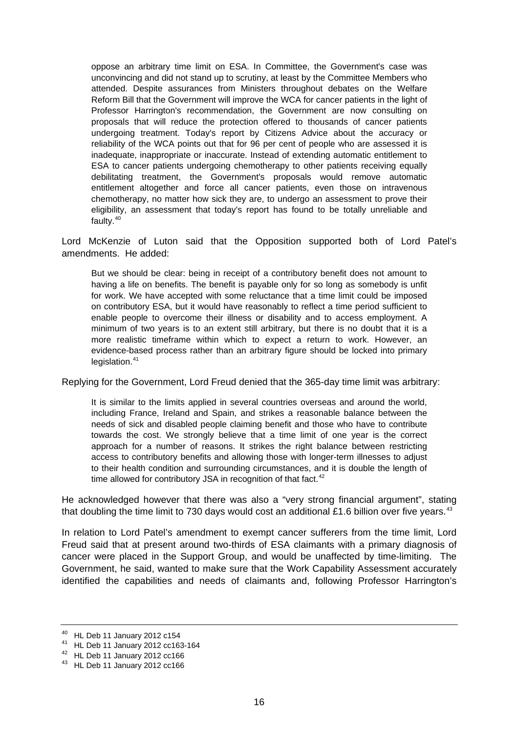oppose an arbitrary time limit on ESA. In Committee, the Government's case was unconvincing and did not stand up to scrutiny, at least by the Committee Members who attended. Despite assurances from Ministers throughout debates on the Welfare Reform Bill that the Government will improve the WCA for cancer patients in the light of Professor Harrington's recommendation, the Government are now consulting on proposals that will reduce the protection offered to thousands of cancer patients undergoing treatment. Today's report by Citizens Advice about the accuracy or reliability of the WCA points out that for 96 per cent of people who are assessed it is inadequate, inappropriate or inaccurate. Instead of extending automatic entitlement to ESA to cancer patients undergoing chemotherapy to other patients receiving equally debilitating treatment, the Government's proposals would remove automatic entitlement altogether and force all cancer patients, even those on intravenous chemotherapy, no matter how sick they are, to undergo an assessment to prove their eligibility, an assessment that today's report has found to be totally unreliable and faulty.<sup>[40](#page-15-0)</sup>

Lord McKenzie of Luton said that the Opposition supported both of Lord Patel's amendments. He added:

But we should be clear: being in receipt of a contributory benefit does not amount to having a life on benefits. The benefit is payable only for so long as somebody is unfit for work. We have accepted with some reluctance that a time limit could be imposed on contributory ESA, but it would have reasonably to reflect a time period sufficient to enable people to overcome their illness or disability and to access employment. A minimum of two years is to an extent still arbitrary, but there is no doubt that it is a more realistic timeframe within which to expect a return to work. However, an evidence-based process rather than an arbitrary figure should be locked into primary  $leq$ islation. $41$ 

Replying for the Government, Lord Freud denied that the 365-day time limit was arbitrary:

It is similar to the limits applied in several countries overseas and around the world, including France, Ireland and Spain, and strikes a reasonable balance between the needs of sick and disabled people claiming benefit and those who have to contribute towards the cost. We strongly believe that a time limit of one year is the correct approach for a number of reasons. It strikes the right balance between restricting access to contributory benefits and allowing those with longer-term illnesses to adjust to their health condition and surrounding circumstances, and it is double the length of time allowed for contributory JSA in recognition of that fact. $42$ 

He acknowledged however that there was also a "very strong financial argument", stating that doubling the time limit to 730 days would cost an additional £1.6 billion over five years.<sup>[43](#page-15-3)</sup>

In relation to Lord Patel's amendment to exempt cancer sufferers from the time limit, Lord Freud said that at present around two-thirds of ESA claimants with a primary diagnosis of cancer were placed in the Support Group, and would be unaffected by time-limiting. The Government, he said, wanted to make sure that the Work Capability Assessment accurately identified the capabilities and needs of claimants and, following Professor Harrington's

<span id="page-15-0"></span><sup>40</sup> HL Deb 11 January 2012 c154

<span id="page-15-1"></span><sup>41</sup> HL Deb 11 January 2012 cc163-164

<span id="page-15-2"></span><sup>42</sup> HL Deb 11 January 2012 cc166

<span id="page-15-3"></span><sup>43</sup> HL Deb 11 January 2012 cc166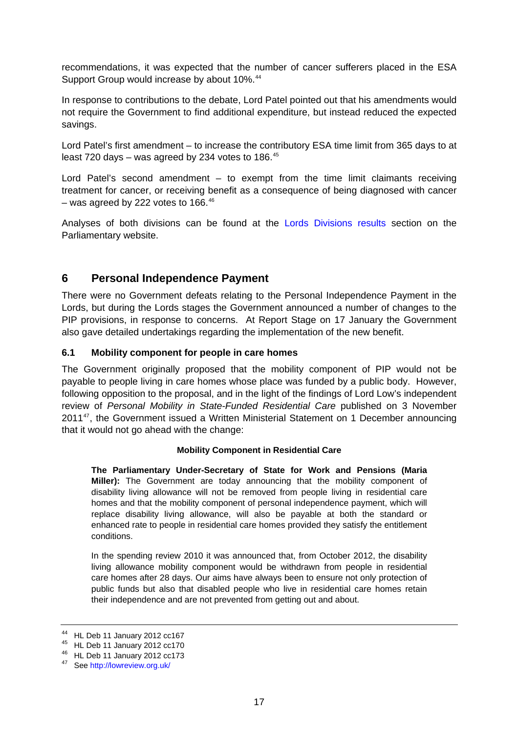<span id="page-16-0"></span>recommendations, it was expected that the number of cancer sufferers placed in the ESA Support Group would increase by about 10%.<sup>[44](#page-16-1)</sup>

In response to contributions to the debate, Lord Patel pointed out that his amendments would not require the Government to find additional expenditure, but instead reduced the expected savings.

Lord Patel's first amendment – to increase the contributory ESA time limit from 365 days to at least 720 days – was agreed by 234 votes to 186. $45$ 

Lord Patel's second amendment – to exempt from the time limit claimants receiving treatment for cancer, or receiving benefit as a consequence of being diagnosed with cancer – was agreed by 222 votes to  $166.^{46}$  $166.^{46}$  $166.^{46}$ 

Analyses of both divisions can be found at the [Lords Divisions results](http://www.parliament.uk/business/publications/business-papers/lords/lords-divisions/) section on the Parliamentary website.

## **6 Personal Independence Payment**

There were no Government defeats relating to the Personal Independence Payment in the Lords, but during the Lords stages the Government announced a number of changes to the PIP provisions, in response to concerns. At Report Stage on 17 January the Government also gave detailed undertakings regarding the implementation of the new benefit.

#### **6.1 Mobility component for people in care homes**

The Government originally proposed that the mobility component of PIP would not be payable to people living in care homes whose place was funded by a public body. However, following opposition to the proposal, and in the light of the findings of Lord Low's independent review of *Personal Mobility in State-Funded Residential Care* published on 3 November 2011<sup>[47](#page-16-4)</sup>, the Government issued a Written Ministerial Statement on 1 December announcing that it would not go ahead with the change:

#### **Mobility Component in Residential Care**

**The Parliamentary Under-Secretary of State for Work and Pensions (Maria Miller):** The Government are today announcing that the mobility component of disability living allowance will not be removed from people living in residential care homes and that the mobility component of personal independence payment, which will replace disability living allowance, will also be payable at both the standard or enhanced rate to people in residential care homes provided they satisfy the entitlement conditions.

In the spending review 2010 it was announced that, from October 2012, the disability living allowance mobility component would be withdrawn from people in residential care homes after 28 days. Our aims have always been to ensure not only protection of public funds but also that disabled people who live in residential care homes retain their independence and are not prevented from getting out and about.

<span id="page-16-1"></span><sup>44</sup> HL Deb 11 January 2012 cc167

<span id="page-16-2"></span><sup>45</sup> HL Deb 11 January 2012 cc170

<span id="page-16-3"></span><sup>46</sup> HL Deb 11 January 2012 cc173

<span id="page-16-4"></span><sup>47</sup> See <http://lowreview.org.uk/>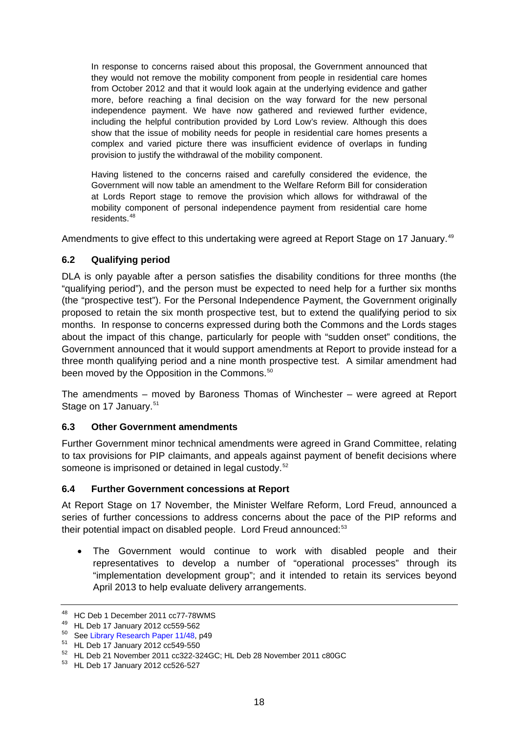<span id="page-17-0"></span>In response to concerns raised about this proposal, the Government announced that they would not remove the mobility component from people in residential care homes from October 2012 and that it would look again at the underlying evidence and gather more, before reaching a final decision on the way forward for the new personal independence payment. We have now gathered and reviewed further evidence, including the helpful contribution provided by Lord Low's review. Although this does show that the issue of mobility needs for people in residential care homes presents a complex and varied picture there was insufficient evidence of overlaps in funding provision to justify the withdrawal of the mobility component.

Having listened to the concerns raised and carefully considered the evidence, the Government will now table an amendment to the Welfare Reform Bill for consideration at Lords Report stage to remove the provision which allows for withdrawal of the mobility component of personal independence payment from residential care home residents.[48](#page-17-1)

Amendments to give effect to this undertaking were agreed at Report Stage on 17 January.<sup>[49](#page-17-2)</sup>

### **6.2 Qualifying period**

DLA is only payable after a person satisfies the disability conditions for three months (the "qualifying period"), and the person must be expected to need help for a further six months (the "prospective test"). For the Personal Independence Payment, the Government originally proposed to retain the six month prospective test, but to extend the qualifying period to six months. In response to concerns expressed during both the Commons and the Lords stages about the impact of this change, particularly for people with "sudden onset" conditions, the Government announced that it would support amendments at Report to provide instead for a three month qualifying period and a nine month prospective test. A similar amendment had been moved by the Opposition in the Commons.<sup>[50](#page-17-3)</sup>

The amendments – moved by Baroness Thomas of Winchester – were agreed at Report Stage on 17 January.<sup>[51](#page-17-4)</sup>

### **6.3 Other Government amendments**

Further Government minor technical amendments were agreed in Grand Committee, relating to tax provisions for PIP claimants, and appeals against payment of benefit decisions where someone is imprisoned or detained in legal custody.<sup>[52](#page-17-5)</sup>

### **6.4 Further Government concessions at Report**

At Report Stage on 17 November, the Minister Welfare Reform, Lord Freud, announced a series of further concessions to address concerns about the pace of the PIP reforms and their potential impact on disabled people. Lord Freud announced:<sup>[53](#page-17-6)</sup>

• The Government would continue to work with disabled people and their representatives to develop a number of "operational processes" through its "implementation development group"; and it intended to retain its services beyond April 2013 to help evaluate delivery arrangements.

<span id="page-17-1"></span><sup>48</sup> HC Deb 1 December 2011 cc77-78WMS

<span id="page-17-2"></span><sup>&</sup>lt;sup>49</sup> HL Deb 17 January 2012 cc559-562<br><sup>50</sup> See Library Research Paper 11/48. p49

<span id="page-17-4"></span><span id="page-17-3"></span> $51$  HL Deb 17 January 2012 cc549-550

<span id="page-17-5"></span><sup>52</sup> HL Deb 21 November 2011 cc322-324GC; HL Deb 28 November 2011 c80GC

<span id="page-17-6"></span><sup>53</sup> HL Deb 17 January 2012 cc526-527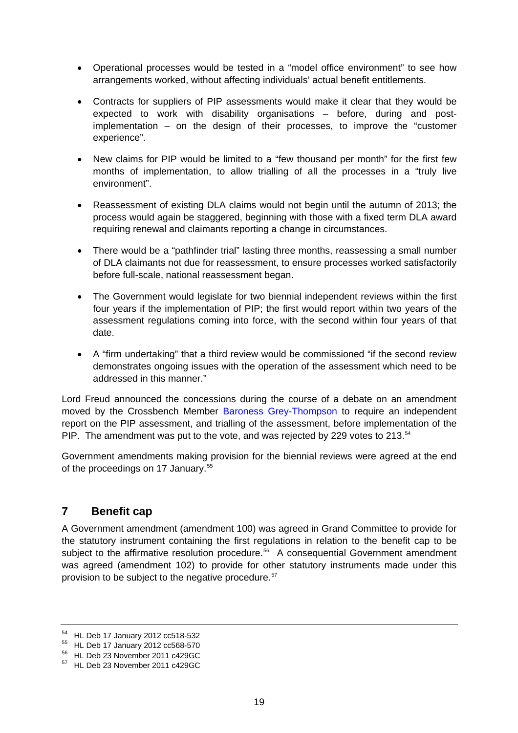- <span id="page-18-0"></span>• Operational processes would be tested in a "model office environment" to see how arrangements worked, without affecting individuals' actual benefit entitlements.
- Contracts for suppliers of PIP assessments would make it clear that they would be expected to work with disability organisations – before, during and postimplementation – on the design of their processes, to improve the "customer experience".
- New claims for PIP would be limited to a "few thousand per month" for the first few months of implementation, to allow trialling of all the processes in a "truly live environment".
- Reassessment of existing DLA claims would not begin until the autumn of 2013; the process would again be staggered, beginning with those with a fixed term DLA award requiring renewal and claimants reporting a change in circumstances.
- There would be a "pathfinder trial" lasting three months, reassessing a small number of DLA claimants not due for reassessment, to ensure processes worked satisfactorily before full-scale, national reassessment began.
- The Government would legislate for two biennial independent reviews within the first four years if the implementation of PIP; the first would report within two years of the assessment regulations coming into force, with the second within four years of that date.
- A "firm undertaking" that a third review would be commissioned "if the second review demonstrates ongoing issues with the operation of the assessment which need to be addressed in this manner."

Lord Freud announced the concessions during the course of a debate on an amendment moved by the Crossbench Member [Baroness Grey-Thompson](http://www.parliament.uk/biographies/lords/tanni-grey-thompson/84715) to require an independent report on the PIP assessment, and trialling of the assessment, before implementation of the PIP. The amendment was put to the vote, and was rejected by 229 votes to 213.<sup>[54](#page-18-1)</sup>

Government amendments making provision for the biennial reviews were agreed at the end of the proceedings on 17 January.<sup>[55](#page-18-2)</sup>

## **7 Benefit cap**

A Government amendment (amendment 100) was agreed in Grand Committee to provide for the statutory instrument containing the first regulations in relation to the benefit cap to be subject to the affirmative resolution procedure.<sup>[56](#page-18-3)</sup> A consequential Government amendment was agreed (amendment 102) to provide for other statutory instruments made under this provision to be subject to the negative procedure.[57](#page-18-4)

<span id="page-18-1"></span><sup>54</sup> HL Deb 17 January 2012 cc518-532

<span id="page-18-2"></span><sup>55</sup> HL Deb 17 January 2012 cc568-570

<span id="page-18-3"></span><sup>56</sup> HL Deb 23 November 2011 c429GC

<span id="page-18-4"></span><sup>57</sup> HL Deb 23 November 2011 c429GC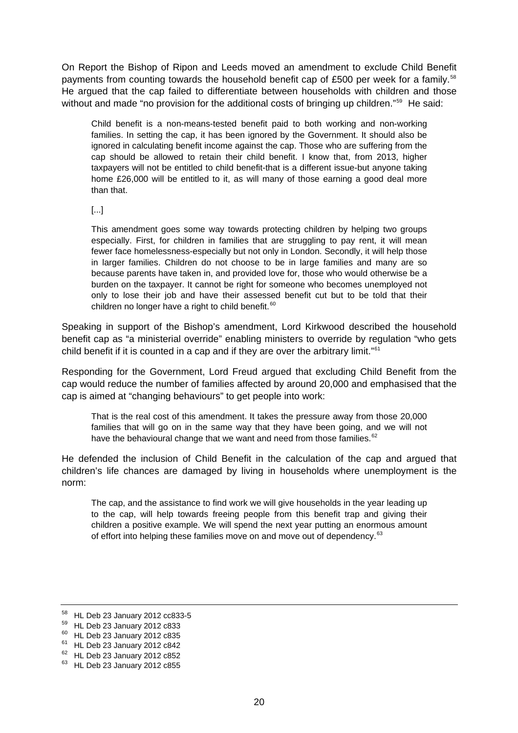On Report the Bishop of Ripon and Leeds moved an amendment to exclude Child Benefit payments from counting towards the household benefit cap of £500 per week for a family.<sup>[58](#page-19-0)</sup> He argued that the cap failed to differentiate between households with children and those without and made "no provision for the additional costs of bringing up children."<sup>[59](#page-19-1)</sup> He said:

Child benefit is a non-means-tested benefit paid to both working and non-working families. In setting the cap, it has been ignored by the Government. It should also be ignored in calculating benefit income against the cap. Those who are suffering from the cap should be allowed to retain their child benefit. I know that, from 2013, higher taxpayers will not be entitled to child benefit-that is a different issue-but anyone taking home £26,000 will be entitled to it, as will many of those earning a good deal more than that.

[...]

This amendment goes some way towards protecting children by helping two groups especially. First, for children in families that are struggling to pay rent, it will mean fewer face homelessness-especially but not only in London. Secondly, it will help those in larger families. Children do not choose to be in large families and many are so because parents have taken in, and provided love for, those who would otherwise be a burden on the taxpayer. It cannot be right for someone who becomes unemployed not only to lose their job and have their assessed benefit cut but to be told that their children no longer have a right to child benefit.<sup>[60](#page-19-2)</sup>

Speaking in support of the Bishop's amendment, Lord Kirkwood described the household benefit cap as "a ministerial override" enabling ministers to override by regulation "who gets child benefit if it is counted in a cap and if they are over the arbitrary limit."[61](#page-19-3)

Responding for the Government, Lord Freud argued that excluding Child Benefit from the cap would reduce the number of families affected by around 20,000 and emphasised that the cap is aimed at "changing behaviours" to get people into work:

That is the real cost of this amendment. It takes the pressure away from those 20,000 families that will go on in the same way that they have been going, and we will not have the behavioural change that we want and need from those families.<sup>[62](#page-19-4)</sup>

He defended the inclusion of Child Benefit in the calculation of the cap and argued that children's life chances are damaged by living in households where unemployment is the norm:

The cap, and the assistance to find work we will give households in the year leading up to the cap, will help towards freeing people from this benefit trap and giving their children a positive example. We will spend the next year putting an enormous amount of effort into helping these families move on and move out of dependency.<sup>[63](#page-19-5)</sup>

<span id="page-19-0"></span><sup>58</sup> HL Deb 23 January 2012 cc833-5

<span id="page-19-1"></span><sup>59</sup> HL Deb 23 January 2012 c833

<span id="page-19-2"></span> $60$  HL Deb 23 January 2012 c835

<span id="page-19-3"></span><sup>61</sup> HL Deb 23 January 2012 c842

<span id="page-19-4"></span><sup>62</sup> HL Deb 23 January 2012 c852

<span id="page-19-5"></span><sup>63</sup> HL Deb 23 January 2012 c855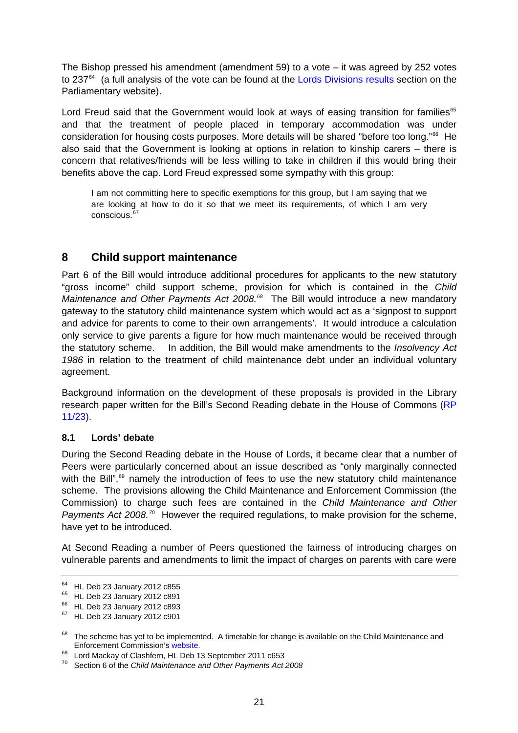<span id="page-20-0"></span>The Bishop pressed his amendment (amendment 59) to a vote – it was agreed by 252 votes to 237<sup>[64](#page-20-1)</sup> (a full analysis of the vote can be found at the [Lords Divisions results](http://www.parliament.uk/business/publications/business-papers/lords/lords-divisions/) section on the Parliamentary website).

Lord Freud said that the Government would look at ways of easing transition for families<sup>[65](#page-20-2)</sup> and that the treatment of people placed in temporary accommodation was under consideration for housing costs purposes. More details will be shared "before too long."<sup>[66](#page-20-3)</sup> He also said that the Government is looking at options in relation to kinship carers – there is concern that relatives/friends will be less willing to take in children if this would bring their benefits above the cap. Lord Freud expressed some sympathy with this group:

I am not committing here to specific exemptions for this group, but I am saying that we are looking at how to do it so that we meet its requirements, of which I am very conscious.<sup>[67](#page-20-4)</sup>

## **8 Child support maintenance**

Part 6 of the Bill would introduce additional procedures for applicants to the new statutory "gross income" child support scheme, provision for which is contained in the *Child Maintenance and Other Payments Act 2008.[68](#page-20-5)* The Bill would introduce a new mandatory gateway to the statutory child maintenance system which would act as a 'signpost to support and advice for parents to come to their own arrangements'. It would introduce a calculation only service to give parents a figure for how much maintenance would be received through the statutory scheme. In addition, the Bill would make amendments to the *Insolvency Act 1986* in relation to the treatment of child maintenance debt under an individual voluntary agreement.

Background information on the development of these proposals is provided in the Library research paper written for the Bill's Second Reading debate in the House of Commons (RP [11/23](http://www.parliament.uk/briefing-papers/RP11-23)).

### **8.1 Lords' debate**

During the Second Reading debate in the House of Lords, it became clear that a number of Peers were particularly concerned about an issue described as "only marginally connected with the Bill",<sup>69</sup> namely the introduction of fees to use the new statutory child maintenance scheme. The provisions allowing the Child Maintenance and Enforcement Commission (the Commission) to charge such fees are contained in the *Child Maintenance and Other Payments Act 2008.[70](#page-20-7)* However the required regulations, to make provision for the scheme, have yet to be introduced.

At Second Reading a number of Peers questioned the fairness of introducing charges on vulnerable parents and amendments to limit the impact of charges on parents with care were

<span id="page-20-1"></span><sup>64</sup> HL Deb 23 January 2012 c855

<span id="page-20-2"></span><sup>65</sup> HL Deb 23 January 2012 c891

<span id="page-20-3"></span><sup>66</sup> HL Deb 23 January 2012 c893

<span id="page-20-4"></span><sup>67</sup> HL Deb 23 January 2012 c901

<span id="page-20-5"></span> $68$  The scheme has yet to be implemented. A timetable for change is available on the Child Maintenance and Enforcement Commission's [website.](http://www.childmaintenance.org/en/childsupport/timetable.html) 69 Lord Mackay of Clashfern, HL Deb 13 September 2011 c653

<span id="page-20-6"></span>

<span id="page-20-7"></span><sup>70</sup> Section 6 of the *Child Maintenance and Other Payments Act 2008*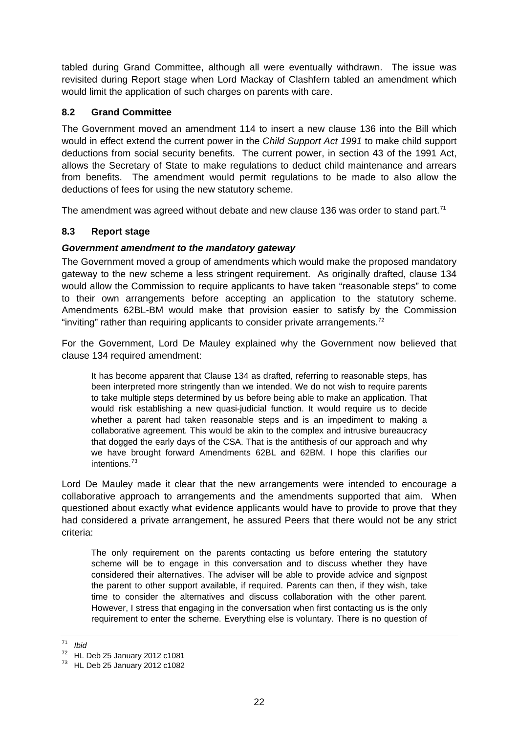<span id="page-21-0"></span>tabled during Grand Committee, although all were eventually withdrawn. The issue was revisited during Report stage when Lord Mackay of Clashfern tabled an amendment which would limit the application of such charges on parents with care.

## **8.2 Grand Committee**

The Government moved an amendment 114 to insert a new clause 136 into the Bill which would in effect extend the current power in the *Child Support Act 1991* to make child support deductions from social security benefits. The current power, in section 43 of the 1991 Act, allows the Secretary of State to make regulations to deduct child maintenance and arrears from benefits. The amendment would permit regulations to be made to also allow the deductions of fees for using the new statutory scheme.

The amendment was agreed without debate and new clause 136 was order to stand part.<sup>[71](#page-21-1)</sup>

### **8.3 Report stage**

#### *Government amendment to the mandatory gateway*

The Government moved a group of amendments which would make the proposed mandatory gateway to the new scheme a less stringent requirement. As originally drafted, clause 134 would allow the Commission to require applicants to have taken "reasonable steps" to come to their own arrangements before accepting an application to the statutory scheme. Amendments 62BL-BM would make that provision easier to satisfy by the Commission "inviting" rather than requiring applicants to consider private arrangements.<sup>[72](#page-21-2)</sup>

For the Government, Lord De Mauley explained why the Government now believed that clause 134 required amendment:

It has become apparent that Clause 134 as drafted, referring to reasonable steps, has been interpreted more stringently than we intended. We do not wish to require parents to take multiple steps determined by us before being able to make an application. That would risk establishing a new quasi-judicial function. It would require us to decide whether a parent had taken reasonable steps and is an impediment to making a collaborative agreement. This would be akin to the complex and intrusive bureaucracy that dogged the early days of the CSA. That is the antithesis of our approach and why we have brought forward Amendments 62BL and 62BM. I hope this clarifies our intentions<sup>[73](#page-21-3)</sup>

Lord De Mauley made it clear that the new arrangements were intended to encourage a collaborative approach to arrangements and the amendments supported that aim. When questioned about exactly what evidence applicants would have to provide to prove that they had considered a private arrangement, he assured Peers that there would not be any strict criteria:

The only requirement on the parents contacting us before entering the statutory scheme will be to engage in this conversation and to discuss whether they have considered their alternatives. The adviser will be able to provide advice and signpost the parent to other support available, if required. Parents can then, if they wish, take time to consider the alternatives and discuss collaboration with the other parent. However, I stress that engaging in the conversation when first contacting us is the only requirement to enter the scheme. Everything else is voluntary. There is no question of

<span id="page-21-1"></span><sup>71</sup> *Ibid*

<span id="page-21-2"></span><sup>72</sup> HL Deb 25 January 2012 c1081

<span id="page-21-3"></span><sup>73</sup> HL Deb 25 January 2012 c1082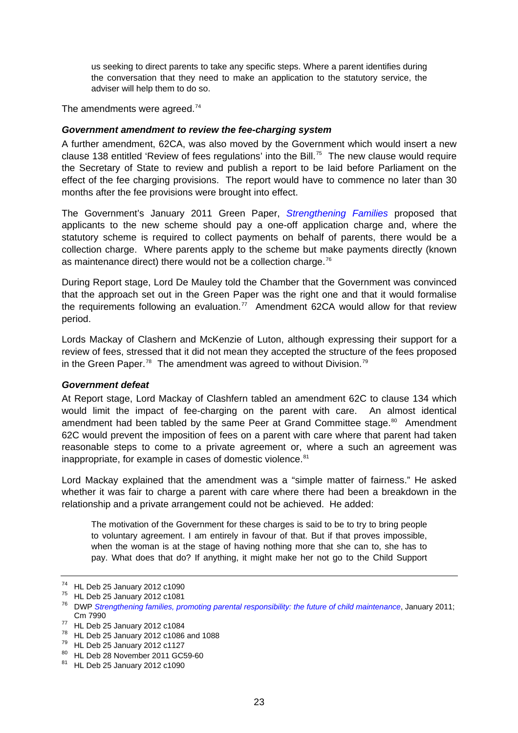<span id="page-22-0"></span>us seeking to direct parents to take any specific steps. Where a parent identifies during the conversation that they need to make an application to the statutory service, the adviser will help them to do so.

The amendments were agreed.<sup>[74](#page-22-1)</sup>

#### *Government amendment to review the fee-charging system*

A further amendment, 62CA, was also moved by the Government which would insert a new clause 138 entitled 'Review of fees regulations' into the Bill.<sup>[75](#page-22-2)</sup> The new clause would require the Secretary of State to review and publish a report to be laid before Parliament on the effect of the fee charging provisions. The report would have to commence no later than 30 months after the fee provisions were brought into effect.

The Government's January 2011 Green Paper, *[Strengthening Families](http://www.dwp.gov.uk/docs/strengthening-families.pdf)* proposed that applicants to the new scheme should pay a one-off application charge and, where the statutory scheme is required to collect payments on behalf of parents, there would be a collection charge. Where parents apply to the scheme but make payments directly (known as maintenance direct) there would not be a collection charge.<sup>[76](#page-22-3)</sup>

During Report stage, Lord De Mauley told the Chamber that the Government was convinced that the approach set out in the Green Paper was the right one and that it would formalise the requirements following an evaluation.<sup>[77](#page-22-4)</sup> Amendment 62CA would allow for that review period.

Lords Mackay of Clashern and McKenzie of Luton, although expressing their support for a review of fees, stressed that it did not mean they accepted the structure of the fees proposed in the Green Paper.<sup>[78](#page-22-5)</sup> The amendment was agreed to without Division.<sup>[79](#page-22-6)</sup>

#### *Government defeat*

At Report stage, Lord Mackay of Clashfern tabled an amendment 62C to clause 134 which would limit the impact of fee-charging on the parent with care. An almost identical amendment had been tabled by the same Peer at Grand Committee stage.<sup>[80](#page-22-7)</sup> Amendment 62C would prevent the imposition of fees on a parent with care where that parent had taken reasonable steps to come to a private agreement or, where a such an agreement was inappropriate, for example in cases of domestic violence.<sup>[81](#page-22-8)</sup>

Lord Mackay explained that the amendment was a "simple matter of fairness." He asked whether it was fair to charge a parent with care where there had been a breakdown in the relationship and a private arrangement could not be achieved. He added:

The motivation of the Government for these charges is said to be to try to bring people to voluntary agreement. I am entirely in favour of that. But if that proves impossible, when the woman is at the stage of having nothing more that she can to, she has to pay. What does that do? If anything, it might make her not go to the Child Support

<sup>74</sup> HL Deb 25 January 2012 c1090

<span id="page-22-2"></span><span id="page-22-1"></span><sup>75</sup> HL Deb 25 January 2012 c1081

<span id="page-22-3"></span><sup>76</sup> DWP *[Strengthening families, promoting parental responsibility: the future of child maintenance](http://www.dwp.gov.uk/docs/strengthening-families.pdf)*, January 2011; Cm 7990 77 HL Deb 25 January 2012 c1084

<span id="page-22-5"></span><span id="page-22-4"></span><sup>78</sup> HL Deb 25 January 2012 c1086 and 1088

<span id="page-22-6"></span> $79$  HL Deb 25 January 2012 c1127

<span id="page-22-7"></span><sup>80</sup> HL Deb 28 November 2011 GC59-60

<span id="page-22-8"></span><sup>81</sup> HL Deb 25 January 2012 c1090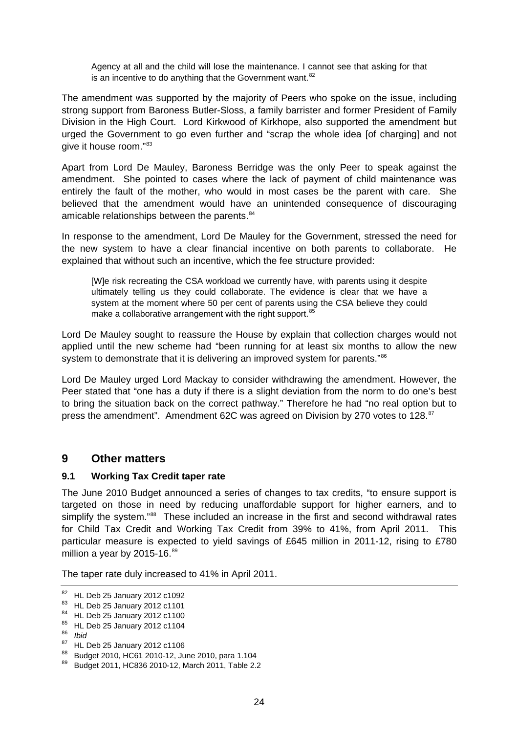<span id="page-23-0"></span>Agency at all and the child will lose the maintenance. I cannot see that asking for that is an incentive to do anything that the Government want. $82$ 

The amendment was supported by the majority of Peers who spoke on the issue, including strong support from Baroness Butler-Sloss, a family barrister and former President of Family Division in the High Court. Lord Kirkwood of Kirkhope, also supported the amendment but urged the Government to go even further and "scrap the whole idea [of charging] and not give it house room."[83](#page-23-2)

Apart from Lord De Mauley, Baroness Berridge was the only Peer to speak against the amendment. She pointed to cases where the lack of payment of child maintenance was entirely the fault of the mother, who would in most cases be the parent with care. She believed that the amendment would have an unintended consequence of discouraging amicable relationships between the parents.<sup>[84](#page-23-3)</sup>

In response to the amendment, Lord De Mauley for the Government, stressed the need for the new system to have a clear financial incentive on both parents to collaborate. He explained that without such an incentive, which the fee structure provided:

[W]e risk recreating the CSA workload we currently have, with parents using it despite ultimately telling us they could collaborate. The evidence is clear that we have a system at the moment where 50 per cent of parents using the CSA believe they could make a collaborative arrangement with the right support.<sup>[85](#page-23-4)</sup>

Lord De Mauley sought to reassure the House by explain that collection charges would not applied until the new scheme had "been running for at least six months to allow the new system to demonstrate that it is delivering an improved system for parents."<sup>[86](#page-23-5)</sup>

Lord De Mauley urged Lord Mackay to consider withdrawing the amendment. However, the Peer stated that "one has a duty if there is a slight deviation from the norm to do one's best to bring the situation back on the correct pathway." Therefore he had "no real option but to press the amendment". Amendment 62C was agreed on Division by 270 votes to 128.<sup>[87](#page-23-6)</sup>

### **9 Other matters**

### **9.1 Working Tax Credit taper rate**

The June 2010 Budget announced a series of changes to tax credits, "to ensure support is targeted on those in need by reducing unaffordable support for higher earners, and to simplify the system."<sup>[88](#page-23-7)</sup> These included an increase in the first and second withdrawal rates for Child Tax Credit and Working Tax Credit from 39% to 41%, from April 2011. This particular measure is expected to yield savings of £645 million in 2011-12, rising to £780 million a year by  $2015-16.^{89}$  $2015-16.^{89}$  $2015-16.^{89}$ 

The taper rate duly increased to 41% in April 2011.

<span id="page-23-6"></span>87 HL Deb 25 January 2012 c1106

<span id="page-23-1"></span><sup>82</sup> HL Deb 25 January 2012 c1092

<span id="page-23-2"></span><sup>83</sup> HL Deb 25 January 2012 c1101

<span id="page-23-3"></span><sup>84</sup> HL Deb 25 January 2012 c1100

<span id="page-23-4"></span><sup>85</sup> HL Deb 25 January 2012 c1104

<span id="page-23-5"></span><sup>86</sup> *Ibid*

<span id="page-23-7"></span><sup>88</sup> Budget 2010, HC61 2010-12, June 2010, para 1.104

<span id="page-23-8"></span><sup>89</sup> Budget 2011, HC836 2010-12, March 2011, Table 2.2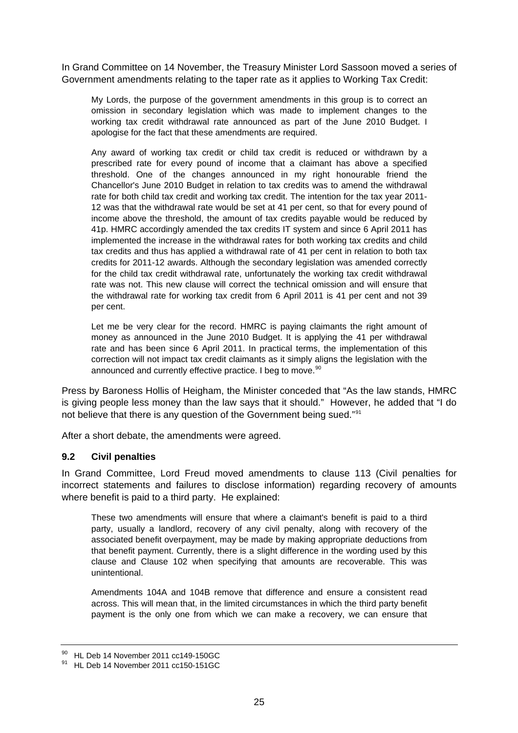<span id="page-24-0"></span>In Grand Committee on 14 November, the Treasury Minister Lord Sassoon moved a series of Government amendments relating to the taper rate as it applies to Working Tax Credit:

My Lords, the purpose of the government amendments in this group is to correct an omission in secondary legislation which was made to implement changes to the working tax credit withdrawal rate announced as part of the June 2010 Budget. I apologise for the fact that these amendments are required.

Any award of working tax credit or child tax credit is reduced or withdrawn by a prescribed rate for every pound of income that a claimant has above a specified threshold. One of the changes announced in my right honourable friend the Chancellor's June 2010 Budget in relation to tax credits was to amend the withdrawal rate for both child tax credit and working tax credit. The intention for the tax year 2011- 12 was that the withdrawal rate would be set at 41 per cent, so that for every pound of income above the threshold, the amount of tax credits payable would be reduced by 41p. HMRC accordingly amended the tax credits IT system and since 6 April 2011 has implemented the increase in the withdrawal rates for both working tax credits and child tax credits and thus has applied a withdrawal rate of 41 per cent in relation to both tax credits for 2011-12 awards. Although the secondary legislation was amended correctly for the child tax credit withdrawal rate, unfortunately the working tax credit withdrawal rate was not. This new clause will correct the technical omission and will ensure that the withdrawal rate for working tax credit from 6 April 2011 is 41 per cent and not 39 per cent.

Let me be very clear for the record. HMRC is paying claimants the right amount of money as announced in the June 2010 Budget. It is applying the 41 per withdrawal rate and has been since 6 April 2011. In practical terms, the implementation of this correction will not impact tax credit claimants as it simply aligns the legislation with the announced and currently effective practice. I beg to move.<sup>[90](#page-24-1)</sup>

Press by Baroness Hollis of Heigham, the Minister conceded that "As the law stands, HMRC is giving people less money than the law says that it should." However, he added that "I do not believe that there is any question of the Government being sued."[91](#page-24-2)

After a short debate, the amendments were agreed.

#### **9.2 Civil penalties**

In Grand Committee, Lord Freud moved amendments to clause 113 (Civil penalties for incorrect statements and failures to disclose information) regarding recovery of amounts where benefit is paid to a third party. He explained:

These two amendments will ensure that where a claimant's benefit is paid to a third party, usually a landlord, recovery of any civil penalty, along with recovery of the associated benefit overpayment, may be made by making appropriate deductions from that benefit payment. Currently, there is a slight difference in the wording used by this clause and Clause 102 when specifying that amounts are recoverable. This was unintentional.

Amendments 104A and 104B remove that difference and ensure a consistent read across. This will mean that, in the limited circumstances in which the third party benefit payment is the only one from which we can make a recovery, we can ensure that

<sup>90</sup> HL Deb 14 November 2011 cc149-150GC

<span id="page-24-2"></span><span id="page-24-1"></span><sup>&</sup>lt;sup>91</sup> HL Deb 14 November 2011 cc150-151GC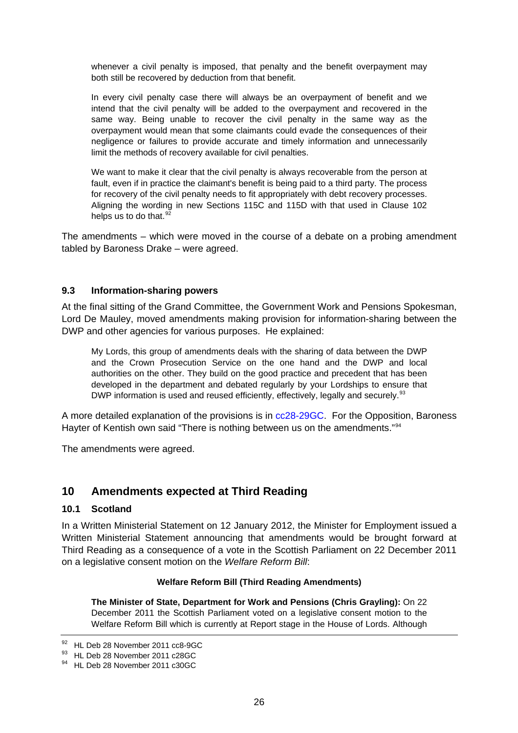<span id="page-25-0"></span>whenever a civil penalty is imposed, that penalty and the benefit overpayment may both still be recovered by deduction from that benefit.

In every civil penalty case there will always be an overpayment of benefit and we intend that the civil penalty will be added to the overpayment and recovered in the same way. Being unable to recover the civil penalty in the same way as the overpayment would mean that some claimants could evade the consequences of their negligence or failures to provide accurate and timely information and unnecessarily limit the methods of recovery available for civil penalties.

We want to make it clear that the civil penalty is always recoverable from the person at fault, even if in practice the claimant's benefit is being paid to a third party. The process for recovery of the civil penalty needs to fit appropriately with debt recovery processes. Aligning the wording in new Sections 115C and 115D with that used in Clause 102 helps us to do that. $92$ 

The amendments – which were moved in the course of a debate on a probing amendment tabled by Baroness Drake – were agreed.

#### **9.3 Information-sharing powers**

At the final sitting of the Grand Committee, the Government Work and Pensions Spokesman, Lord De Mauley, moved amendments making provision for information-sharing between the DWP and other agencies for various purposes. He explained:

My Lords, this group of amendments deals with the sharing of data between the DWP and the Crown Prosecution Service on the one hand and the DWP and local authorities on the other. They build on the good practice and precedent that has been developed in the department and debated regularly by your Lordships to ensure that DWP information is used and reused efficiently, effectively, legally and securely.<sup>[93](#page-25-2)</sup>

A more detailed explanation of the provisions is in [cc28-29GC](http://www.publications.parliament.uk/pa/ld201011/ldhansrd/text/111128-gc0001.htm#1111285000130). For the Opposition, Baroness Hayter of Kentish own said "There is nothing between us on the amendments."[94](#page-25-3)

The amendments were agreed.

## **10 Amendments expected at Third Reading**

#### **10.1 Scotland**

In a Written Ministerial Statement on 12 January 2012, the Minister for Employment issued a Written Ministerial Statement announcing that amendments would be brought forward at Third Reading as a consequence of a vote in the Scottish Parliament on 22 December 2011 on a legislative consent motion on the *Welfare Reform Bill*:

#### **Welfare Reform Bill (Third Reading Amendments)**

**The Minister of State, Department for Work and Pensions (Chris Grayling):** On 22 December 2011 the Scottish Parliament voted on a legislative consent motion to the Welfare Reform Bill which is currently at Report stage in the House of Lords. Although

<span id="page-25-1"></span><sup>92</sup> HL Deb 28 November 2011 cc8-9GC

<span id="page-25-2"></span><sup>93</sup> HL Deb 28 November 2011 c28GC

<span id="page-25-3"></span><sup>&</sup>lt;sup>94</sup> HL Deb 28 November 2011 c30GC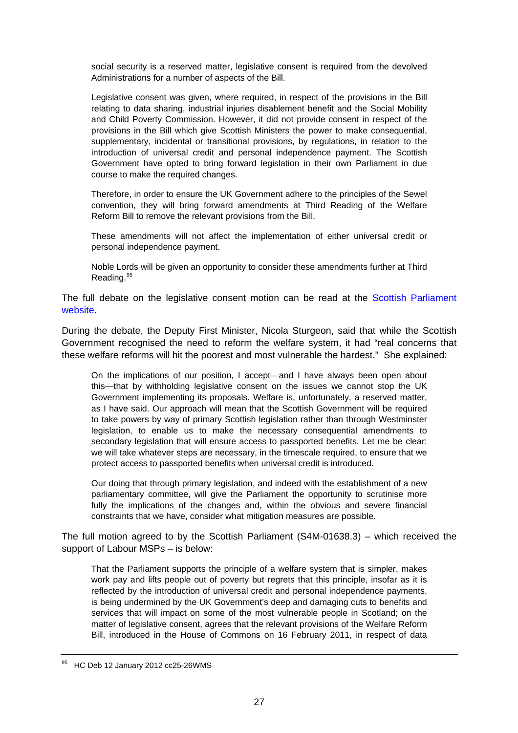social security is a reserved matter, legislative consent is required from the devolved Administrations for a number of aspects of the Bill.

Legislative consent was given, where required, in respect of the provisions in the Bill relating to data sharing, industrial injuries disablement benefit and the Social Mobility and Child Poverty Commission. However, it did not provide consent in respect of the provisions in the Bill which give Scottish Ministers the power to make consequential, supplementary, incidental or transitional provisions, by regulations, in relation to the introduction of universal credit and personal independence payment. The Scottish Government have opted to bring forward legislation in their own Parliament in due course to make the required changes.

Therefore, in order to ensure the UK Government adhere to the principles of the Sewel convention, they will bring forward amendments at Third Reading of the Welfare Reform Bill to remove the relevant provisions from the Bill.

These amendments will not affect the implementation of either universal credit or personal independence payment.

Noble Lords will be given an opportunity to consider these amendments further at Third Reading.<sup>[95](#page-26-0)</sup>

The full debate on the legislative consent motion can be read at the [Scottish Parliament](http://www.scottish.parliament.uk/parliamentarybusiness/28862.aspx?r=6647&mode=html#iob_60537)  [website](http://www.scottish.parliament.uk/parliamentarybusiness/28862.aspx?r=6647&mode=html#iob_60537).

During the debate, the Deputy First Minister, Nicola Sturgeon, said that while the Scottish Government recognised the need to reform the welfare system, it had "real concerns that these welfare reforms will hit the poorest and most vulnerable the hardest." She explained:

On the implications of our position, I accept—and I have always been open about this—that by withholding legislative consent on the issues we cannot stop the UK Government implementing its proposals. Welfare is, unfortunately, a reserved matter, as I have said. Our approach will mean that the Scottish Government will be required to take powers by way of primary Scottish legislation rather than through Westminster legislation, to enable us to make the necessary consequential amendments to secondary legislation that will ensure access to passported benefits. Let me be clear: we will take whatever steps are necessary, in the timescale required, to ensure that we protect access to passported benefits when universal credit is introduced.

Our doing that through primary legislation, and indeed with the establishment of a new parliamentary committee, will give the Parliament the opportunity to scrutinise more fully the implications of the changes and, within the obvious and severe financial constraints that we have, consider what mitigation measures are possible.

The full motion agreed to by the Scottish Parliament (S4M-01638.3) – which received the support of Labour MSPs – is below:

That the Parliament supports the principle of a welfare system that is simpler, makes work pay and lifts people out of poverty but regrets that this principle, insofar as it is reflected by the introduction of universal credit and personal independence payments, is being undermined by the UK Government's deep and damaging cuts to benefits and services that will impact on some of the most vulnerable people in Scotland; on the matter of legislative consent, agrees that the relevant provisions of the Welfare Reform Bill, introduced in the House of Commons on 16 February 2011, in respect of data

<span id="page-26-0"></span><sup>&</sup>lt;sup>95</sup> HC Deb 12 January 2012 cc25-26WMS